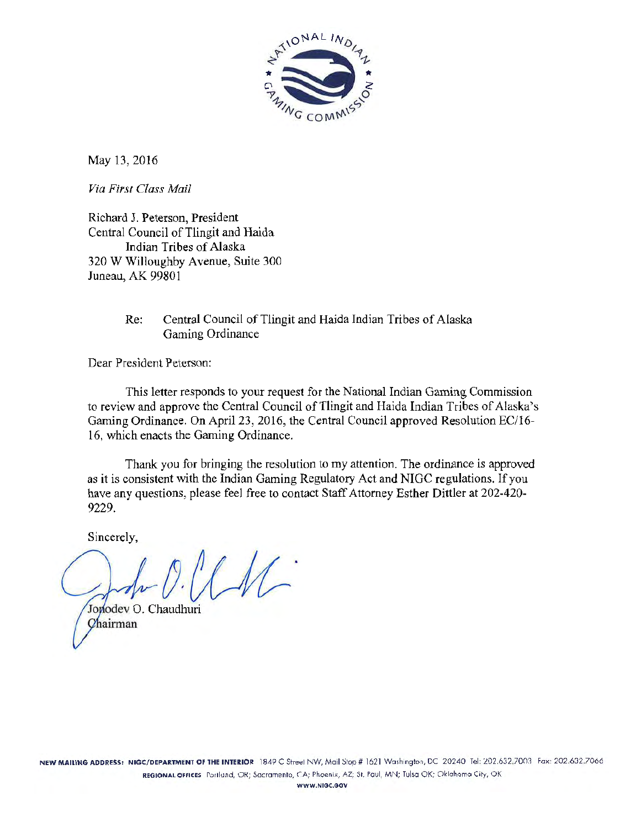

May 13, 2016

*Via First Class Mail* 

Richard J. Peterson, President Central Council of Tlingit and Haida Indian Tribes of Alaska 320 W Willoughby Avenue, Suite 300 Juneau, AK 99801

# Re: Central Council of Tlingit and Haida Indian Tribes of Alaska Gaming Ordinance

Dear President Peterson:

This letter responds to your request for the National Indian Gaming Commission to review and approve the Central Council of Tlingit and Haida Indian Tribes of Alaska's Gaming Ordinance. On April 23, 2016, the Central Council approved Resolution EC/16- 16, which enacts the Gaming Ordinance.

Thank you for bringing the resolution to my attention. The ordinance is approved as it is consistent with the Indian Gaming Regulatory Act and NIGC regulations. If you have any questions, please feel free to contact Staff Attorney Esther Dittler at 202-420- 9229.

Sincerely,

 $(M)$ 

Jonodev O. Chaudhuri Chairman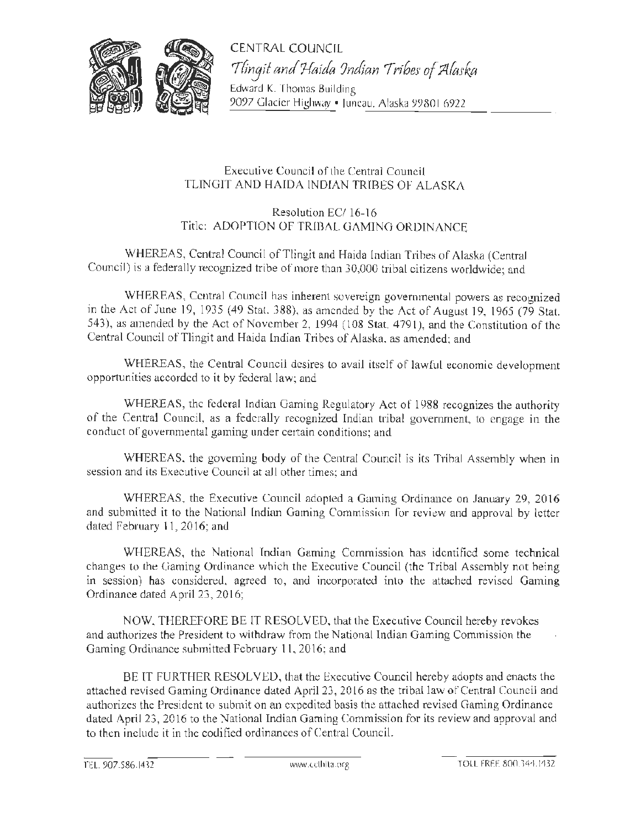

CENTRAL COUNCIL 7firJJit *and 7-faida ?ndian 7rihes of ;;ztfask..a* 

Edward K. Thomas Building 9097 Glacier Highway • Juneau, Alaska 99801 6922

# Executive Council of the Central Council TLINGIT AND HAIDA INDIAN TRIBES OF ALASKA

# Resolution EC/ 16-16 Title: ADOPTION OF TRIBAL GAMING ORDINANCE

WHEREAS, Central Council of Tlingit and Haida Indian Trihes of Alaska (Central Council) is a federally recognized tribe of more than 30,000 tribal citizens worldwide; and

WHEREAS, Central Council has inherent sovereign governmental powers as recognized in the Act of June 19, 1935 (49 Stat. 388), as amended by the Act of August 19, 1965 (79 Stat. 543), as amended by the Act of November 2, 1994 (108 Stat. 4791), and the Constitution of the Central Council of Tlingit and Haida lndian Tribes of Alaska. as amended; and

WHEREAS, the Central Council desires to avail itself of lawful economic development opportunities accorded to it by federal law; and

WHEREAS, the federal Indian Gaming Regulatory Act of 1988 recognizes the authority of the Central Council, as a federally recognized Indian tribal government, to engage in the conduct or governmental gaming under certain conditions; and

WHEREAS. the governing body of the Central Council is its Trihal Assembly when in session and its Executive Council at all other times; and

WHEREAS, the Executive Council adopted a Gaming Ordinance on January 29, 2016 and submitted it to the National [ndian Gaming Commission for review and approval by letter dated February 11, 2016; and

WHEREAS, the National Indian Gaming Commission has identified some technical changes to the Gaming Ordinance which the Executive Council (the Tribal Assembly not being in session) has considered. agreed to, and incorporated into the attached revised Gaming Ordinance dated April 23, 2016;

NOW, THEREFORE BE lT RESOLVED, that the Executive Council hereby revokes and authorizes the Presjdent to withdraw from the National Indian Gaming Commission the Gaming Ordinance submitted February 11, 2016; and

BE lT FURTHER RESOLVED, that the Executive Council hereby adopts and enacts the attached revised Gaming Ordinance dated April 23, 2016 as the tribal law of Central Council and authorizes the President to submit on an expedited basis the attached revised Gaming Ordinance dated April 23, 2016 to the National Indian Gaming Commission for its review and approval and to then include it in the codified ordinances of Central Council.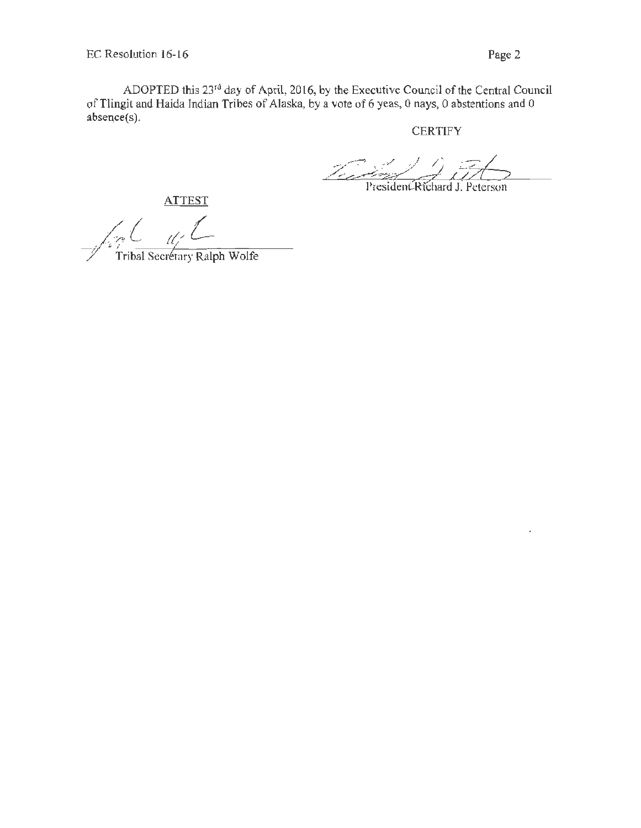ADOPTED this 23rd day of April, 2016, by the Executive Council of the Central Council of Tlingit and Haida Indian Tribes of Alaska, by a vote of 6 yeas, 0 nays, 0 abstentions and 0 absence(s).

**CERTIFY** 

President Richard J. Peterson

**ATTEST** 

~~ *,t/L*   $\frac{2\pi}{\pi}$ Tribal Secretary Ralph Wolfe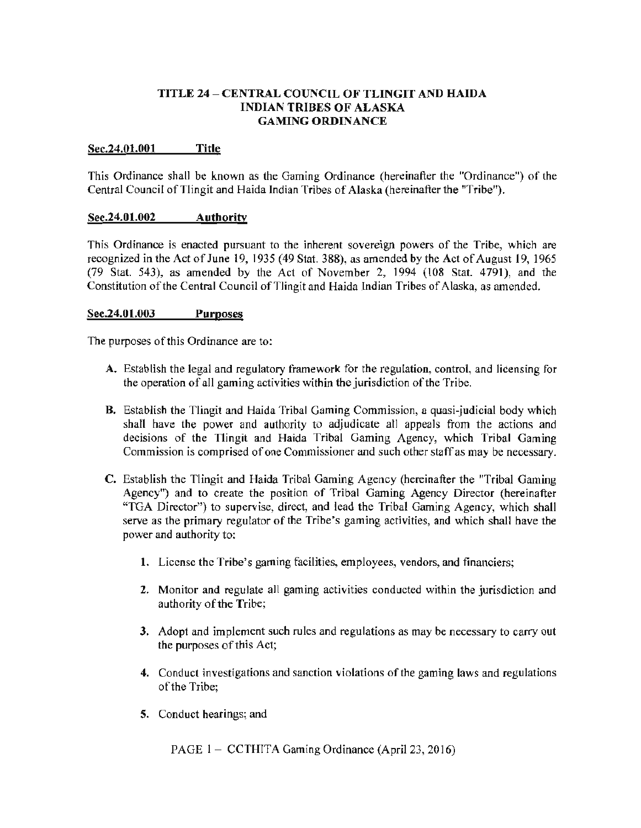## TITLE 24 - CENTRAL COUNCIL OF TLINGIT AND HAIDA INDIAN TRIBES OF ALASKA GAMING ORDINANCE

### Sec.24.01.001 Title

This Ordinance shall be known as the Gaming Ordinance (hereinafter the "Ordinance") of the Central Council of Tlingit and Haida Indian Tribes of Alaska (hereinafter the "Tribe").

### Sec.24.01.002 Authority

This Ordinance is enacted pursuant to the inherent sovereign powers of the Tribe, which are recognized in the Act of June 19, 1935 (49 Stat. 388), as amended by the Act of August 19, 1965  $(79$  Stat. 543), as amended by the Act of November 2, 1994  $(108$  Stat. 4791), and the Constitution of the Central Council of Tlingit and Haida Indian Tribes of Alaska, as amended.

### Sec.24.01.003 Purposes

The purposes of this Ordinance are to:

- A. Establish the legal and regulatory framework for the regulation, control, and licensing for the operation of all gaming activities within the jurisdiction of the Tribe.
- B. Establish the Tlingit and Haida Tribal Gaming Commission, a quasi-judicial body which shall have the power and authority to adjudicate all appeals from the actions and decisions of the Tlingit and Haida Tribal Gaming Agency, which Tribal Gaming Commission is comprised of one Commissioner and such other staff as may be necessary.
- C. Establish the Tlingit and Haida Tribal Gaming Agency (hereinafter the "Tribal Gaming Agency") and to create the position of Tribal Gaming Agency Director (hereinafter "TOA Director") to supervise, direct, and lead the Tribal Gaming Agency, which shall serve as the primary regulator of the Tribe's gaming activities, and which shall have the power and authority to;
	- 1. License the Tribe's gaming facilities, employees, vendors, and financiers;
	- 2. Monitor and regulate all gaming activities conducted within the jurisdiction and authority of the Tribe;
	- 3. Adopt and implement such rules and regulations as may be necessary to carry out the purposes of this Act;
	- 4. Conduct investigations and sanction violations of the gaming laws and regulations of the Tribe;
	- 5. Conduct hearings; and

PAGE 1 – CCTHITA Gaming Ordinance (April 23, 2016)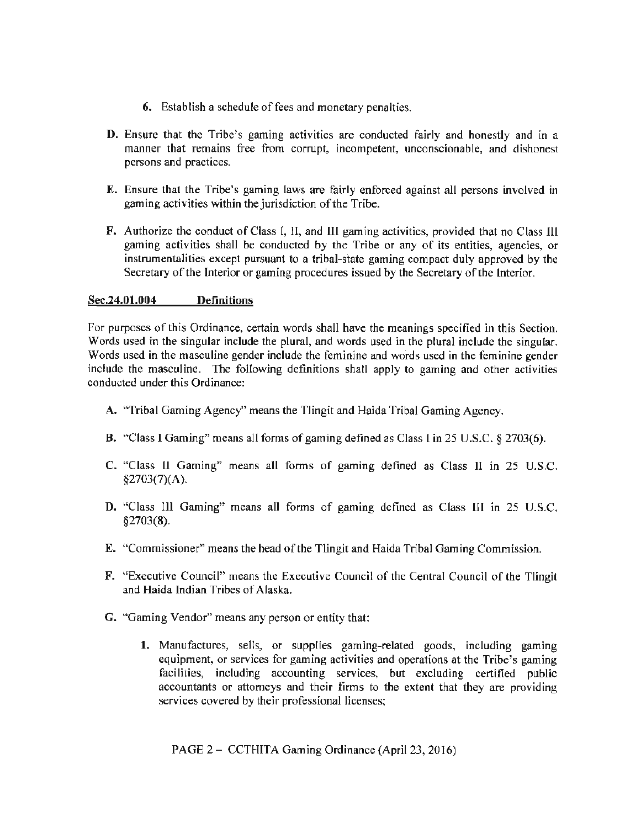- 6. Establish a schedule of fees and monetary penalties.
- D. Ensure that the Tribe's gaming activities are conducted fairly and honestly and in a manner that remains free from corrupt, incompetent, unconscionable, and dishonest persons and practices.
- E. Ensure that the Tribe's gaming laws are fairly enforced against all persons involved in gaming activities within the jurisdiction of the Tribe.
- F. Authorize the conduct of Class I, II, and Ill gaming activities, provided that no Class Jll gaming activities shall be conducted by the Tribe or any of its entities, agencies, or instrumentalities except pursuant to a tribal-state gaming compact duly approved by the Secretary of the Interior or gaming procedures issued by the Secretary of the interior.

## Sec.24.01.004 Definitions

For purposes of this Ordinance, certain words shall have the meanings specified in this Section. Words used in the singular include the plural, and words used in the plural include the singular. Words used in the masculine gender include the feminine and words used in the feminine gender include the masculine. The following definitions shall apply to gaming and other activities conducted under this Ordinance:

- A. "Tribal Gaming Agency" means the Tlingit and Haida Tribal Gaming Agency.
- B. "Class I Gaming" means all forms of gaming defined as Class l in 25 U.S.C. *§* 2703(6).
- C. "Class 11 Gaming" means all forms of gaming defined as Class II in 25 U.S.C. §2703(7)(A).
- D. "Class III Gaming" means all forms of gaming defined as Class III in 25 U.S.C. §2703(8).
- E. "Commissioner" means the head of the Tlingit and Haida Tribal Gaming Commission.
- F. "Executive Council" means the Executive Council of the Central Council of the Tlingit and Haida Indian Tribes of Alaska.
- G. "Gaming Vendor" means any person or entity that:
	- 1. Manufactures, sells, or supplies gaming-related goods, including gaming equipment, or services for gaming activities and operations at the Tribe's gaming facilities, including accounting services, but excluding certified public accountants or attorneys and their firms to the extent that they are providing services covered by their professional licenses;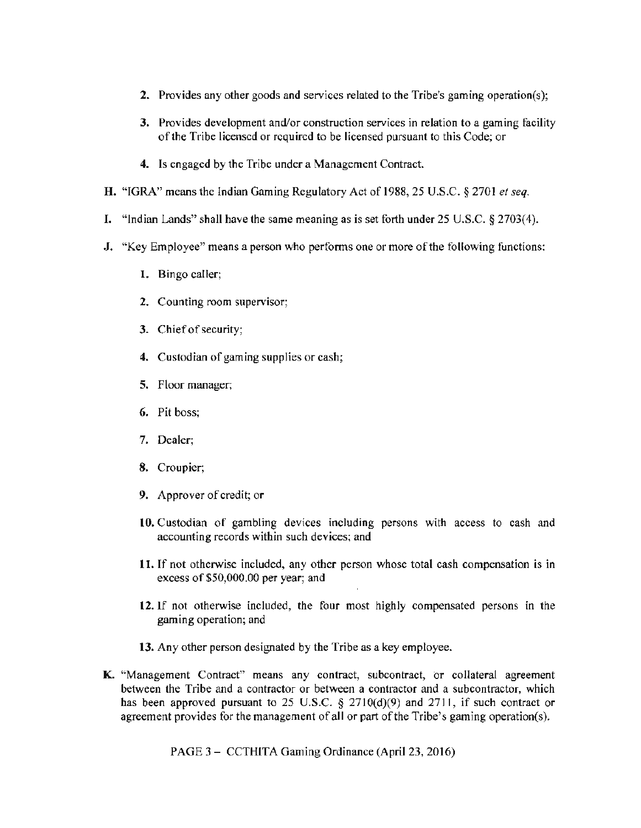- I. 2. Provides any other goods and services related to the Tribe's gaming operation(s);
- 3. Provides development and/or construction services in relation to a gaming facility of the Tribe licensed or required to be licensed pursuant to this Code; or
- **4.** Is engaged by the Tribe under a Management Contract.
- **H.** "IGRA" means the Indian Gaming Regulatory Act of 1988, 25 U.S.C. *§* 2701 *et seq.*
- I. "Indian Lands" shall have the same meaning as is set forth under 25 U.S.C.  $\S 2703(4)$ .
- **J.** "Key Employee" means a person who performs one or more of the following functions:
	- 1. Bingo caller;
	- 2. Counting room supervisor;
	- 3. Chief of security;
	- **4.** Custodian of gaming supplies or cash;
	- 5. Floor manager;
	- 6. Pit boss;
	- 7. Dealer;
	- 8. Croupier;
	- 9. Approver of credit; or
	- 10. Custodian of gambling devices including persons with access to cash and accounting records within such devices; and
	- **11.** If not otherwise included, any other person whose total cash compensation is in excess of \$50,000.00 per year; and
	- 12. If not otherwise included, the four most highly compensated persons in the gaming operation; and
	- 13. Any other person designated by the Tribe as a key employee.
- **K.** "Management Contract" means any contract, subcontract, or collateral agreement between the Tribe and a contractor or between a contractor and a subcontractor, which has been approved pursuant to 25 U.S.C. § 2710(d)(9) and 2711, if such contract or agreement provides for the management of all or part of the Tribe's gaming operation(s).

PAGE 3 - CCTHITA Gaming Ordinance (April 23, 2016)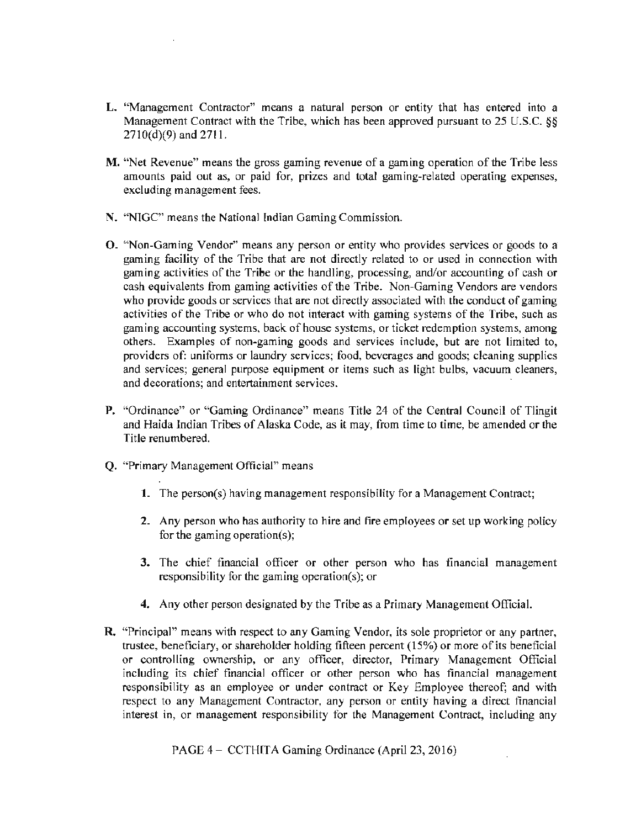- L. "Management Contractor" means a natural person or entity that has entered into a Management Contract with the Tribe, which has been approved pursuant to 25 U.S.C. §§ 2710(d)(9) and 2711.
- M. "Net Revenue" means the gross gaming revenue of a gaming operation of the Tribe less amounts paid out as, or paid for, prizes and total gaming-related operating expenses, excluding management fees.
- N. "NIGC" means the National Indian Gaming Commission.
- O. "Non-Gaming Vendor" means any person or entity who provides services or goods to a gaming facility of the Tribe that are not directly related to or used in connection with gaming activities of the Trihe or the handling, processing, and/or accounting of cash or cash equivalents from gaming activities of the Tribe. Non-Gaming Vendors are vendors who provide goods or services that are not directly associated with the conduct of gaming activities of the Tribe or who do not interact with gaming systems of the Tribe, such as gaming accounting systems, back of house systems, or ticket redemption systems, among others. Examples of non·gaming goods and services include, but are not limited to, providers of: uniforms or laundry services; food, beverages and goods; cleaning supplies and services; general purpose equipment or items such as light bulbs, vacuum cleaners, and decorations; and entertainment services.
- P. "Ordinance" or "Gaming Ordinance" means Title 24 of the Central Council of Tlingit and Haida Indian Tribes of Alaska Code, as it may, from time to time, be amended or the Title renumbered.
- Q. "Primary Management Official" means
	- 1. The person(s) having management responsibility for a Management Contract;
	- 2. Any person who has authority to hire and fire employees or set up working policy for the gaming operation(s);
	- 3. The chief financial officer or other person who has financial management responsibility for the gaming operation(s); or
	- 4. Any other person designated by the Tribe as a Primary Management Official.
- R. "Principal" means with respect to any Gaming Vendor, its sole proprietor or any partner, trustee, beneficiary, or shareholder holding fifteen percent ( 15%) or more of its beneficial or controlling ownership, or any officer, director, Primary Management Official including its chief financial officer or other person who has financial management responsibility as an employee or under contract or Key Employee thereof; and with respect to any Management Contractor, any person or entity having a direct financial interest in, or management responsibility for the Management Contract, including any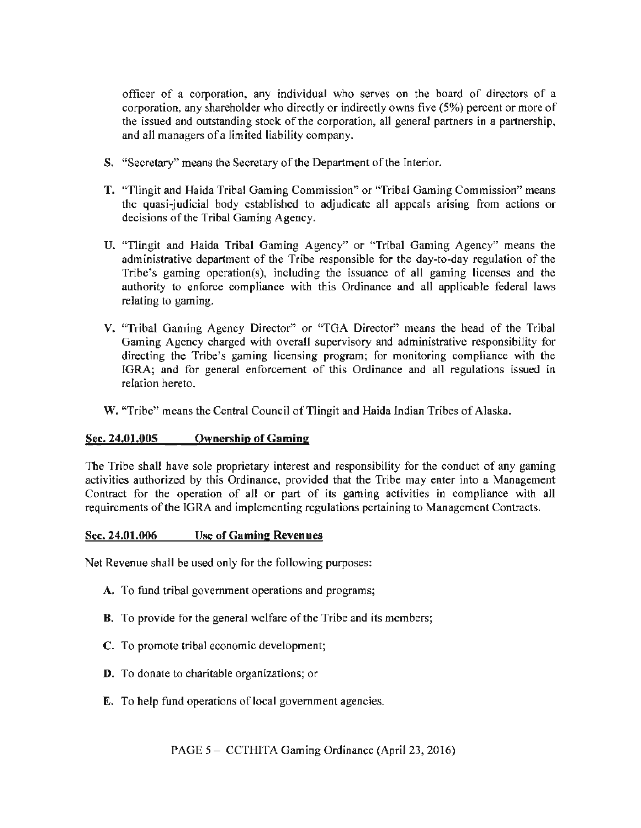officer of a corporation, any individual who serves on the board of directors of a corporation, any shareholder who directly or indirectly owns five (5%) percent or more of the issued and outstanding stock of the corporation, all general partners in a partnership, and all managers of a limited liability company.

- S. "Secretary'' means the Secretary of the Department of the Interior.
- T. "Tlingit and Haida Tribal Gaming Commission" or "Tribal Gaming Commission" means the quasi-judicial body established to adjudicate all appeals arising from actions or decisions of the Tribal Gaming Agency.
- U. "Tlingit and Haida Tribal Gaming Agency" or "Tribal Gaming Agency" means the administrative department of the Tribe responsible for the day-to-day regulation of the Tribe's gaming operation(s), including the issuance of all gaming licenses and the authority to enforce compliance with this Ordinance and all applicable federal laws relating to gaming.
- V. "Tribal Gaming Agency Director" or "TGA Director" means the head of the Tribal Gaming Agency charged with overall supervisory and administrative responsibility for directing the Tribe's gaming licensing program; for monitoring compliance with the IGRA; and for general enforcement of this Ordinance and all regulations issued in relation hereto.

W. "Tribe" means the Central Council of Tlingit and Haida Indian Tribes of Alaska.

# Sec. 24.01.005 Ownership of Gaming

The Tribe shall have sole proprietary interest and responsibility for the conduct of any gaming activities authorized by this Ordinance, provided that the Tribe may enter into a Management Contract for the operation of all or part of its gaming activities in compliance with all requirements of the IGRA and implementing regulations pertaining to Management Contracts.

### Sec. 24.01.006 Use of Gaming Revenues

Net Revenue shall be used only for the following purposes:

- A. To fund tribal government operations and programs;
- B. To provide for the general welfare of the Tribe and its members;
- C. To promote tribal economic development;
- D. To donate to charitable organizations; or
- E. To help fund operations of local government agencies.

PAGE 5 – CCTHITA Gaming Ordinance (April 23, 2016)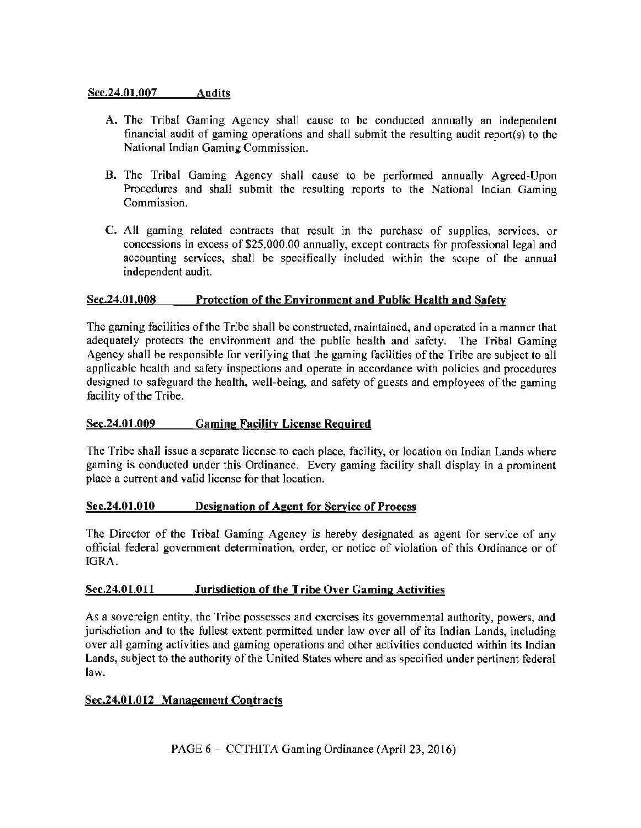## Sec.24.01.007 Audits

- A. The Tribal Gaming Agency shall cause to be conducted annually an independent financial audit of gaming operations and shall submit the resulting audit report(s) to the National Indian Gaming Commission.
- B. The Tribal Gaming Agency shall cause to be performed annually Agreed-Upon Procedures and shall submit the resulting reports to the National Indian Gaming Commission.
- C. All gaming related contracts that result in the purchase of supplies, services, or concessions in excess of \$25,000.00 annually, except contracts for professional legal and accounting services, shall be specifically included within the scope of the annual independent audit.

### Sec.24.01.008 Protection of the Environment and Public Health and Safety

The gaming facilities of the Tribe shall be constructed, maintained, and operated in a manner that adequately protects the environment and the public health and safety. The Tribal Gaming Agency shall be responsible for verifying that the gaming facilities of the Tribe are subject to all applicable health and safety inspections and operate in accordance with policies and procedures designed to safeguard the health, well-being, and safety of guests and employees of the gaming facility of the Tribe.

# Sec.24.01.009 Gaming Facility License Required

The Tribe shall issue a separate license to each place, facility, or location on Indian Lands where gaming is conducted under this Ordinance. Every gaming facility shall display in a prominent place a current and valid license for that location.

### Sec.24.01.010 Designation of Agent for Service of Process

The Director of the Tribal Gaming Agency is hereby designated as agent for service of any official federal government determination, order, or notice of violation of this Ordinance or of IGRA.

### Sec.24.01.0ll Jurisdiction of the Tribe Over Gaming Activities

As a sovereign entity, the Tribe possesses and exercises its governmental authority, powers, and jurisdiction and to the fullest extent permitted under law over all of its Indian Lands, including over all gaming activities and gaming operations and other activities conducted within its Indian Lands, subject to the authority of the United States where and as specified under pertinent federal law.

### Sec.24.01.012 Management Contracts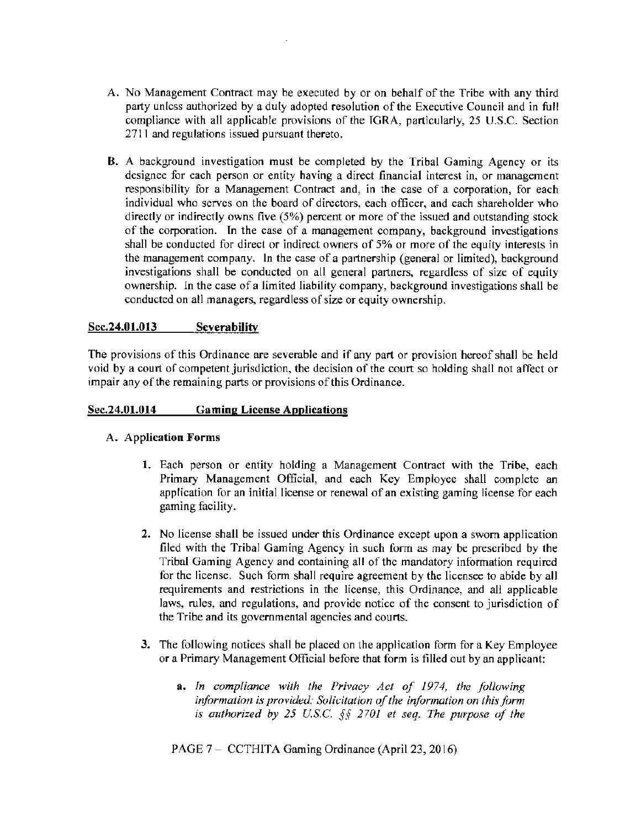- A. No Management Contract may be executed by or on behalf of the Tribe with any third party unless authorized by a duly adopted resolution of the Executive Council and in full compliance with all applicable provisions of the IGRA, particularly, 25 U.S.C. Section 2711 and regulations issued pursuant thereto.
- B. A background investigation must be completed by the Tribal Gaming Agency or its designee for each person or entity having a direct financial interest in, or management responsibility for a Management Contract and, in the case of a corporation, for each individual who serves on the board of directors, each officer, and each shareholder who directly or indirectly owns five (5%) percent or more of the issued and outstanding stock of the corporation. In the case of a management company, background investigations shall be conducted for direct or indirect owners of 5% or more of the equity interests in the management company. In the case of a partnership (general or limited), background investigations shall be conducted on all general partners, regardless of size of equity ownership. In the case of a limited liability company, background investigations shall be conducted on all managers, regardless of size or equity ownership.

## Sec.24.01.013 Severability

The provisions of this Ordinance are severable and if any part or provision hereof shall be held void by a court of competent jurisdiction, the decision of the court so holding shall not affect or impair any of the remaining parts or provisions of this Ordinance.

### Sec.24.01.014 Gaming License Applications

### A. Application Forms

- 1. Each person or entity holding a Management Contract with the Tribe, each Primary Management Official, and each Key Employee shall complete an application for an initial license or renewal of an existing gaming license for each gaming facility.
- 2. No license shall be issued under this Ordinance except upon a sworn application filed with the Tribal Gaming Agency in such form as may be prescribed by the Tribal Gaming Agency and containing all of the mandatory information required for the license. Such form shall require agreement by the licensee to abide by all requirements and restrictions in the license, this Ordinance, and all applicable laws, rules, and regulations, and provide notice of the consent to jurisdiction of the Tribe and its governmental agencies and courts.
- 3. The following notices shall be placed on the application form for a Key Employee or a Primary Management Official before that form is filled out by an applicant:
	- a. In compliance with the Privacy Act of 1974, the following *information is provided: Solicitation of the information on this form is authorized by 25 U.S.C. §§ 2701 et seq. The purpose of the*

PAGE 7 - CCTHITA Gaming Ordinance (April 23, 2016)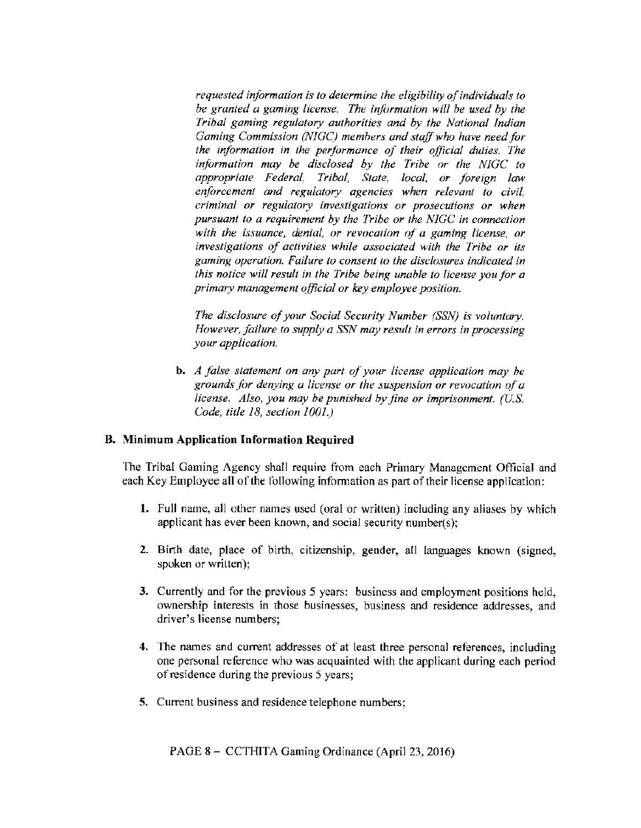*requested information is to determine the eligibility of individuals to be granted a gaming license. The information will be used by the Tribal gaming regulatory authorities and by ihe National Indian Gaming Commission (NIGC) members and staff who have need for the information in the performance of their official duties. The information may be disclosed by the Tribe or the NJGC to appropriate Federal, Tribal, State, local. or foreign law enforcement and regulatory agencies when relevant to civil, criminal or regulatory investigations or prosecutions or when pursuant to a requirement by the Tribe or the NIGC in conneclion with the issuance, denial, or revocation of a gaming license, or investigations of activities while associated with the Tribe or its gaming operation. Failure to consent to the &-;closures indicated in this notice will result in the Tribe being unable to license you for a primary management official or key employee position.* 

*The disclosure of your Social Security Number (SSN) is voluntary. However, failure to supply a SSN may result in errors in processing your application.* 

b. *A false statement on any part of your license application may be ground-; for denying a license or the suspension or revocation of a license. Also, you may be punished by fine or imprisonment. (U.S. Code, title 18, section 1001.)* 

### B. Minimum Application Information Required

The Tribal Gaming Agency shall require from each Primary Management Official and each Key Employee all of the following information as part of their license application:

- 1. Full name, all other names used (oral or written) including any aliases by which applicant has ever been known, and social security number(s);
- 2. Birth date, place of birth, citizenship, gender. all languages known (signed, spoken or written);
- 3. Currently and for the previous *5* years: business and employment positions held, ownership interests in those businesses. business and residence addresses. and driver's license numbers;
- 4. The names and current addresses of at least three personal references. including one personal reference who was acquainted with the applicant during each period of residence during the previous 5 years;
- 5. Current business and residence telephone numbers;

PAGE 8- CCTHITA Gaming Ordinance (April 23, 2016)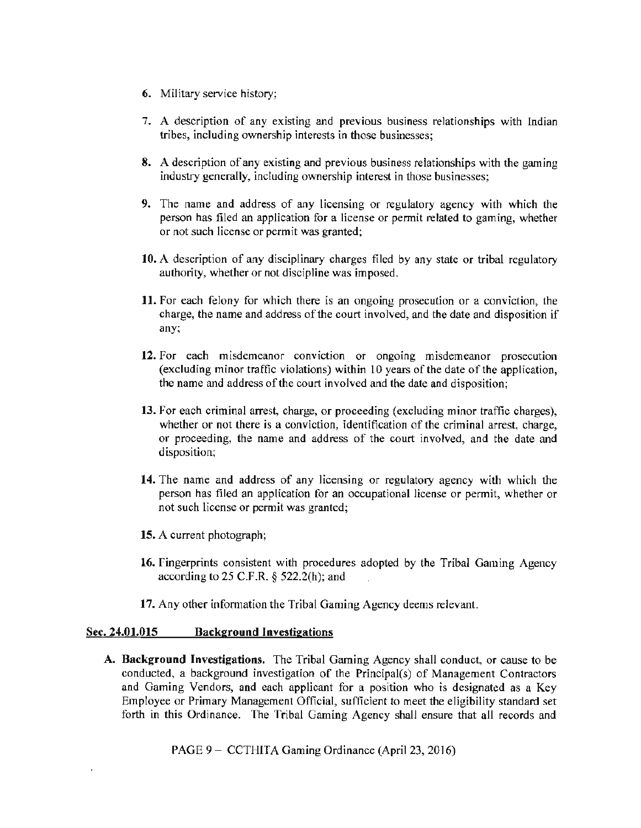- 6. Military service history;
- 7. A description of any existing and previous business relationships with Indian tribes, including ownership interests in those businesses;
- 8. A description of any existing and previous business relationships with the gaming industry generally, including ownership interest in those businesses;
- 9. The name and address of any licensing or regulatory agency with which the person has filed an application for a license or pennit related to gaming, whether or not such license or permit was granted;
- 10. A description of any disciplinary charges filed by any state or tribal regulatory authority, whether or not discipline was imposed.
- 11. For each felony for which there is an ongoing prosecution or a conviction, the charge, the name and address of the court involved, and the date and disposition if any;
- 12. For each misdemeanor conviction or ongoing misdemeanor prosecution (excluding minor traffic violations) within 10 years of the date of the application, the name and address of the court involved and the date and disposition;
- 13. For each criminal arrest, charge, or proceeding (excluding minor traffic charges), whether or not there is a conviction, identification of the criminal arrest, charge, or proceeding, the name and address of the court involved, and the date and disposition;
- 14. The name and address of any licensing or regulatory agency with which the person has filed an application for an occupational license or permit, whether or not such license or permit was granted;
- 15. A current photograph;
- 16. fingerprints consistent with procedures adopted by the Tribal Gaming Agency according to 25 C.F.R. *§* 522.2(h); and
- 17. Any other infotmation the Tribal Gaming Agency deems relevant.

### Sec. 24.01.015 Background Investigations

A. Background Investigations. The Tribal Gaming Agency shall conduct, or cause to be conducted, a background investigation of the Principal(s) of Management Contractors and Gaming Vendors, and each applicant for a position who is designated as a Key Employee or Primary Management Official, sufficient to meet the eligibility standard set forth in this Ordinance. The Tribal Gaming Agency shall ensure that all records and

PAGE 9 - CCTHITA Gaming Ordinance (April 23, 2016)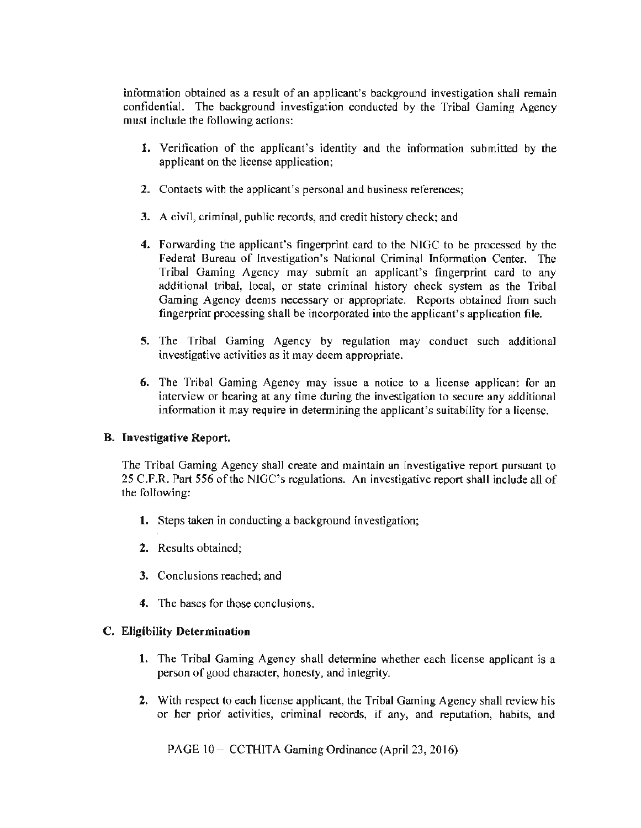information obtained as a result of an applicant's background investigation shall remain confidential. The background investigation conducted by the Tribal Gaming Agency must include the following actions:

- 1. Verification of the applicant's identity and the information submitted by the applicant on the license application;
- 2. Contacts with the applicant's personal and business references;
- 3. A civil, criminal, public records, and credit history check; and
- 4. Forwarding the applicant's fingerprint card to the NIGC to be processed by the Federal Bureau of Investigation's National Criminal Information Center. The Tribal Gaming Agency may submit an applicant's fingerprint card to any additional tribal, local, or state criminal history check system as the Tribal Gaming Agency deems necessary or appropriate. Reports obtained from such fingerprint processing shall be incorporated into the applicant's application file.
- 5. The Tribal Gaming Agency by regulation may conduct such additional investigative activities as it may deem appropriate.
- 6. The Tribal Gaming Agency may issue a notice to a license applicant for an interview or hearing at any time during the investigation to secure any additional information it may require in determining the applicant's suitability for a license.

### B. Investigative Report.

The Tribal Gaming Agency shall create and maintain an investigative report pursuant to 25 C.F.R. Part 556 of the NIGC's regulations. An investigative report shall include all of the following:

- 1. Steps taken in conducting a background investigation;
- 2. Results obtained;
- 3. Conclusions reached; and
- 4. The bases for those conclusions.

### C. Eligibility Determination

- l. The Tribal Gaming Agency shall detennine whether each license applicant is a person of good character, honesty, and integrity.
- 2. With respect to each license applicant, the Tribal Gaming Agency shall review his or her prior' activities, criminal records, if any, and reputation, habits, and

PAGE 10- CCTHITA Gaming Ordinance (April 23, 2016)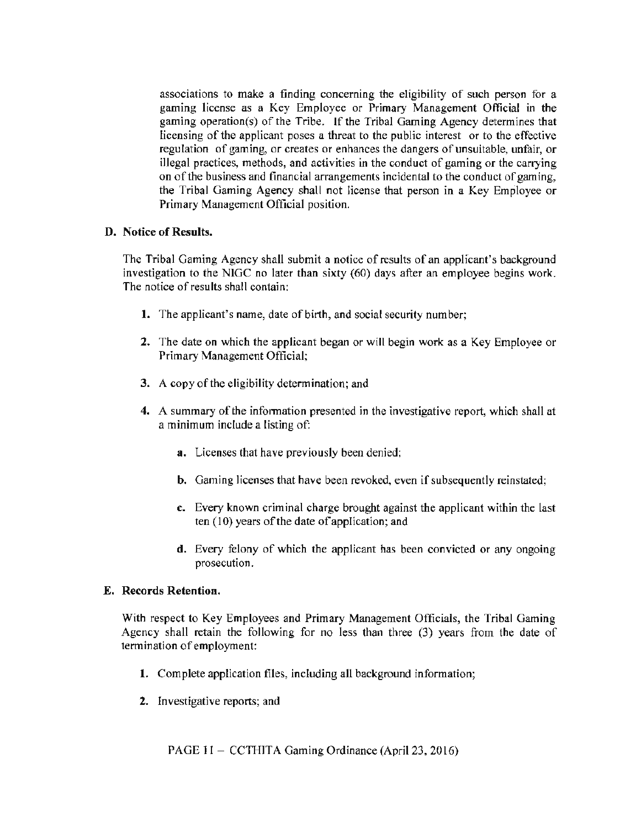associations to make a finding concerning the eligibility of such person for a gaming license as a Key Employee or Primary Management Official in the gaming operation(s) of the Tribe. If the Tribal Gaming Agency determines that licensing of the applicant poses a threat to the public interest or to the effective regulation of gaming, or creates or enhances the dangers of unsuitable, unfair, or illegal practices, methods, and activities in the conduct of gaming or the carrying on of the business and financial arrangements incidental to the conduct of gaming, the Tribal Gaming Agency shall not license that person in a Key Employee or Primary Management Official position.

## D. Notice of Results.

The Tribal Gaming Agency shall submit a notice of results of an applicant's background investigation to the NIGC no later than sixty {60) days after an employee begins work. The notice of results shall contain:

- 1. The applicant's name, date of birth, and social security number;
- 2. The date on which the applicant began or will begin work as a Key Employee or Primary Management Official;
- 3. A copy of the eligibility determination; and
- 4. A summary of the information presented in the investigative report, which shall at a minimum include a listing of:
	- a. Licenses that have previously been denied;
	- b. Gaming licenses that have been revoked, even if subsequently reinstated;
	- c. Every known criminal charge brought against the applicant within the last ten {JO) years of the date of application; and
	- d. Every felony of which the applicant has been convicted or any ongoing prosecution.

### E. Records Retention.

With respect to Key Employees and Primary Management Officials, the Tribal Gaming Agency shall retain the following for no less than three (3) years from the date of termination of employment:

- 1. Complete application files, including all background information;
- 2. Investigative reports; and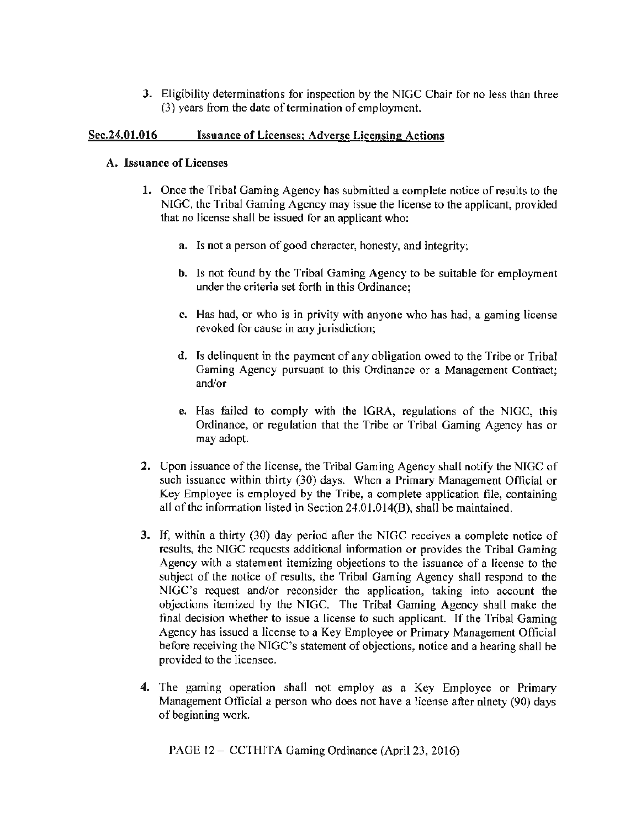3. Eligibility determinations for inspection by the NIGC Chair for no less than three (3) years from the date of termination of employment.

## Sec.24.01.016 Issuance of Licenses; Adverse Licensing Actions

### A. Issuance of Licenses

- 1. Once the Tribal Gaming Agency has submitted a complete notice of results to the NIGC, the Tribal Gaming Agency may issue the license to the applicant, provided that no license shall be issued for an applicant who:
	- a. Is not a person of good character, honesty, and integrity;
	- b. ls not found by the Tribal Gaming Agency to be suitable for employment under the criteria set forth in this Ordinance;
	- c. Has had, or who is in privity with anyone who has had, a gaming license revoked for cause in any jurisdiction;
	- d. Is delinquent in the payment of any obligation owed to the Tribe or Tribal Gaming Agency pursuant to this Ordinance or a Management Contract; and/or
	- e. Has failed to comply with the lGRA. regulations of the NIGC, this Ordinance, or regulation that the Tribe or Tribal Gaming Agency has or may adopt.
- 2. Upon issuance of the license, the Tribal Gaming Agency shall notify the NIGC of such issuance within thirty (30) days. When a Primary Management Official or Key Employee is employed by the Tribe, a complete application file, containing all of the information listed in Section 24.0l.014(B), shall be maintained.
- 3. If, within a thirty (30) day period after the NlGC receives a complete notice of results, the NIGC requests additional information or provides the Tribal Gaming Agency with a statement itemizing objections to the issuance of a license to the subject of the notice of results, the Tribal Gaming Agency shall respond to the NIGC's request and/or reconsider the application, taking into account the objections itemized by the NTGC. The Tribal Gaming Agency shall make the final decision whether to issue a license to such applicant. If the Tribal Gaming Agency has issued a license to a Key Employee or Primary Management Official before receiving the NIGC's statement of objections, notice and a hearing shall be provided to the licensee.
- 4. The gaming operation shall not employ as a Key Employee or Primary Management Official a person who does not have a license after ninety (90) days of beginning work.

PAGE 12 – CCTHITA Gaming Ordinance (April 23, 2016)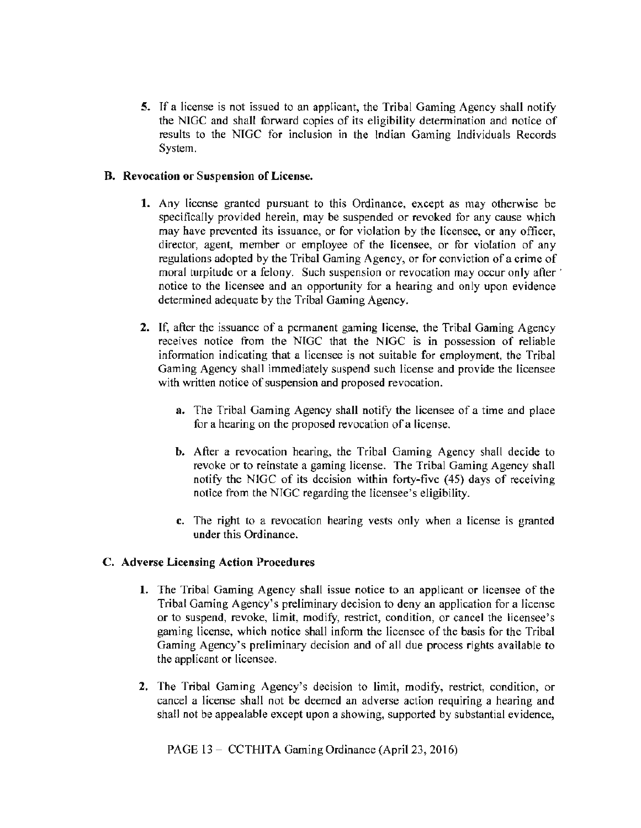5. If a license is not issued to an applicant, the Tribal Gaming Agency shall notify the NIGC and shall forward copies of its eligibility detennination and notice of results to the NTGC for inclusion in the lndian Gaming Individuals Records System.

## B. Revocation or Suspension of License.

- 1. Any license granted pursuant to this Ordinance, except as may otherwise be specifically provided herein, may be suspended or revoked for any cause which may have prevented its issuance, or for violation by the licensee, or any officer, director, agent, member or employee of the licensee, or for violation of any regulations adopted by the Tribal Gaming Agency, or for conviction of a crime of moral turpitude or a felony. Such suspension or revocation may occur only after ' notice to the licensee and an opportunity for a hearing and only upon evidence determined adequate by the Tribal Gaming Agency.
- 2. If, after the issuance of a permanent gaming license, the Tribal Gaming Agency receives notice from the NIGC that the NlGC is in possession of reliable information indicating that a licensee is not suitable for employment, the Tribal Gaming Agency shall immediately suspend such license and provide the licensee with written notice of suspension and proposed revocation.
	- a. The Tribal Gaming Agency shall notify the licensee of a time and place for a hearing on the proposed revocation of a license.
	- b. After a revocation hearing, the Tribal Gaming Agency shall decide to revoke or to reinstate a gaming license. The Tribal Gaming Agency shall notify the NIGC of its decision within forty-five (45) days of receiving notice from the NIGC regarding the licensee's eligibility.
	- c. The right to a revocation hearing vests only when a license is granted under this Ordinance.

### C. Adverse Licensing Action Procedures

- 1. The Tribal Gaming Agency shall issue notice to an applicant or licensee of the Tribal Gaming Agency's preliminary decision to deny an application for a license or to suspend, revoke, limit, modify, restrict, condition, or cancel the licensee's gaming license, which notice shall inform the licensee of the basis for the Tribal Gaming Agency's preliminary decision and of all due process rights available to the applicant or licensee.
- 2. The Tribal Gaming Agency's decision to limit, modify, restrict, condition, or cancel a license shall not be deemed an adverse action requiring a hearing and shall not be appealable except upon a showing, supported by substantial evidence,

PAGE 13 - CCTHITA Gaming Ordinance (April 23, 2016)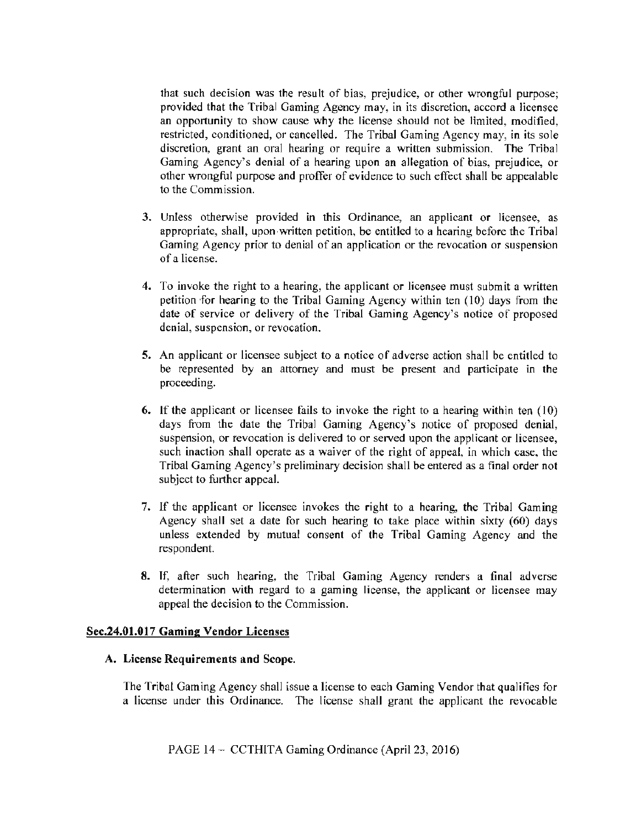that such decision was the result of bias, prejudice, or other wrongful purpose; provided that the Tribal Gaming Agency may, in its discretion, accord a licensee an opportunity to show cause why the license should not be limited, modified, restricted, conditioned, or cancelled. The Tribal Gaming Agency may, in its sole discretion, grant an oral hearing or require a written submission. The Tribal Gaming Agency's denial of a hearing upon an allegation of bias, prejudice, or other wrongful purpose and proffer of evidence to such effect shall be appealable to the Commission.

- 3. Unless otherwise provided in this Ordinance, an applicant or licensee, as appropriate, shall, upon.written petition, be entitled to a hearing before the Tribal Gaming Agency prior to denial of an application or the revocation or suspension of a license.
- 4. To invoke the right to a hearing, the applicant or licensee must submit a written petition for hearing to the Tribal Gaming Agency within ten (10) days from the date of service or delivery of the Tribal Gaming Agency's notice of proposed denial, suspension, or revocation.
- 5. An applicant or licensee subject to a notice of adverse action shall be entitled to be represented by an attorney and must be present and participate in the proceeding.
- 6. If the applicant or licensee fails to invoke the right to a hearing within ten  $(10)$ days from the date the Tribal Gaming Agency's notice of proposed denial, suspension, or revocation is delivered to or served upon the applicant or licensee, such inaction shall operate as a waiver of the right of appeal, in which case, the Tribal Gaming Agency's preliminary decision shall be entered as a final order not subject to further appeal.
- 7. If the applicant or licensee invokes the right to a hearing, the Tribal Gaming Agency shall set a date for such hearing to take place within sixty (60) days unless extended by mutual consent of the Tribal Gaming Agency and the respondent.
- 8. If, after such hearing, the Tribal Gaming Agency renders a final adverse determination with regard to a gaming license, the applicant or licensee may appeal the decision to the Commission.

### Sec.24.01.017 Gaming Vendor Licenses

#### A. License Requirements and Scope.

The Tribal Gaming Agency shall issue a license to each Gaming Vendor that qualifies for a license under this Ordinance. The license shall grant the applicant the revocable

PAGE 14 – CCTHITA Gaming Ordinance (April 23, 2016)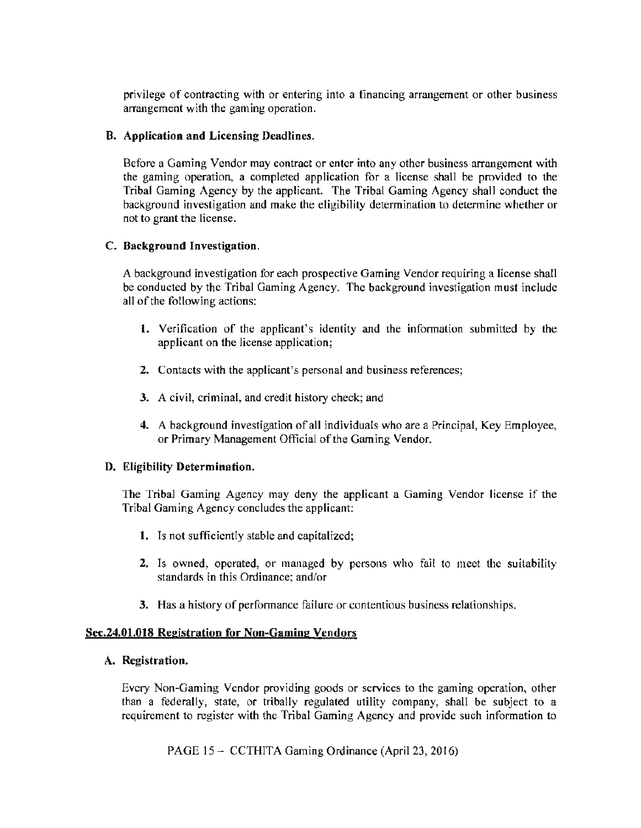privilege of contracting with or entering into a financing arrangement or other business arrangement with the gaming operation.

### B. Application and Licensing Deadlines.

Before a Gaming Vendor may contract or enter into any other business arrangement with the gaming operation, a completed application for a license shall be provided to the Tribal Gaming Agency by the applicant. The Tribal Gaming Agency shall conduct the background investigation and make the eligibility determination to determine whether or not to grant the license.

## C. Background Investigation.

A background investigation for each prospective Gaming Vendor requiring a license shall be conducted by the Tribal Gaming Agency. The background investigation must include all of the following actions:

- l. Verification of the applicant's identity and the infonnation submitted by the applicant on the license application;
- 2. Contacts with the applicant's personal and business references;
- 3. A civil, criminal, and credit history check; and
- 4. A background investigation of all individuals who are a Principal, Key Employee, or Primary Management Official of the Gaming Vendor.

### D. Eligibility Determination.

The Tribal Gaming Agency may deny the applicant a Gaming Vendor license if the Tribal Gaming Agency concludes the applicant:

- 1. Is not sufficiently stable and capitalized;
- 2. Is owned, operated, or managed by persons who fail to meet the suitability standards in this Ordinance; and/or
- 3. Has a history of performance failure or contentious business relationships.

### Sec.24.01.018 Registration for Non-Gaming Vendors

### A. Registration.

Every Non-Gaming Vendor providing goods or services to the gaming operation, other than a federally, state, or tribally regulated utility company, shall be subject to a requirement to register with the Tribal Gaming Agency and provide such information to

PAGE 15 - CCTHITA Gaming Ordinance (April 23, 2016)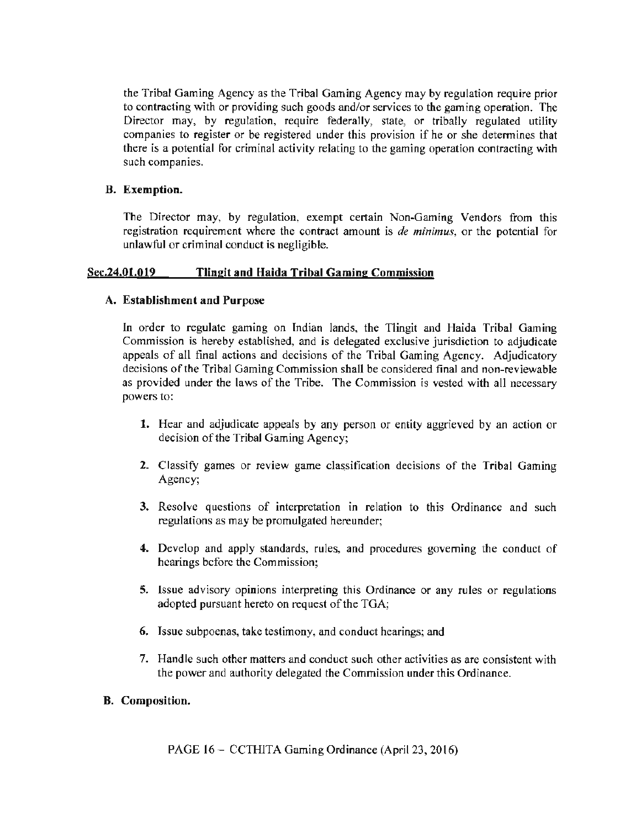the Tribal Gaming Agency as the Tribal Gaming Agency may by regulation require prior to contracting with or providing such goods and/or services to the gaming operation. The Director may, by regulation, require federally, state, or tribally regulated utility companies to register or be registered under this provision if he or she determines that there is a potential for criminal activity relating to the gaming operation contracting with such companies.

# B. Exemption.

The Director may, by regulation, exempt certain Non-Gaming Vendors from this registration requirement where the contract amount is *de minimus,* or the potential for unlawful or criminal conduct is negligible.

# Sec.24.01.019 Tlingit and Haida Tribal Gaming Commission

# A. Establishment and Purpose

In order to regulate gaming on Indian lands, the Tlingit and Haida Tribal Gaming Commission is hereby established, and is delegated exclusive jurisdiction to adjudicate appeals of all final actions and decisions of the Tribal Gaming Agency. Adjudicatory decisions of the Tribal Gaming Commission shall be considered final and non-reviewable as provided under the laws of the Tribe. The Commission is vested with all necessary powers to:

- 1. Hear and adjudicate appeals by any person or entity aggrieved by an action or decision of the Tribal Gaming Agency;
- 2. Classify games or review game classification decisions of the Tribal Gaming Agency;
- 3. Resolve questions of interpretation in relation to this Ordinance and such regulations as may be promulgated hereunder;
- 4. Develop and apply standards, rules, and procedures governing the conduct of hearings before the Commission;
- 5. Issue advisory opinions interpreting this Ordinance or any rules or regulations adopted pursuant hereto on request of the TGA;
- 6. Issue subpoenas, take testimony, and conduct hearings; and
- 7. Handle such other matters and conduct such other activities as are consistent with the power and authority delegated the Commission under this Ordinance.

# B. Composition.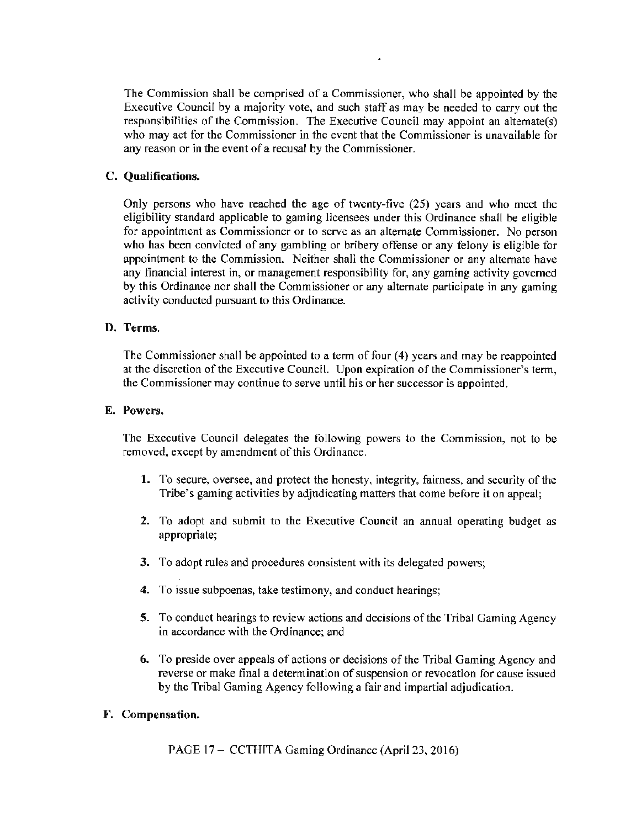The Commission shall be comprised of a Commissioner, who shall be appointed by the Executive Council by a majority vote, and such staff as may be needed to carry out the responsibilities of the Commission. The Executive Council may appoint an altemate(s) who may act for the Commissioner in the event that the Commissioner is unavailable for any reason or in the event of a recusal by the Commissioner.

## C. Qualifications.

Only persons who have reached the age of twenty-five (25) years and who meet the eligibility standard applicable to gaming licensees under this Ordinance shall be eligible for appointment as Commissioner or to serve as an alternate Commissioner. No person who has been convicted of any gambling or bribery offense or any felony is eligible for appointment to the Commission. Neither shall the Commissioner or any alternate have any financial interest in, or management responsibility for, any gaming activity governed by this Ordinance nor shall the Commissioner or any alternate participate in any gaming activity conducted pursuant to this Ordinance.

### D. Terms.

The Commissioner shall be appointed to a term of four (4) years and may be reappointed at the discretion of the Executive Council. Upon expiration of the Commissioner's term, the Commissioner may continue to serve until his or her successor is appointed.

### E. Powers.

The Executive Council delegates the following powers to the Commission, not to be removed, except by amendment of this Ordinance.

- 1. To secure, oversee, and protect the honesty, integrity, fairness, and security of the Tribe's gaming activities by adjudicating matters that come before it on appeal;
- 2. To adopt and submit to the Executive Council an annual operating budget as appropriate;
- 3. To adopt rules and procedures consistent with its delegated powers;
- 4. To issue subpoenas, take testimony, and conduct hearings;
- 5. To conduct hearings to review actions and decisions of the Tribal Gaming Agency in accordance with the Ordinance; and
- 6. To preside over appeals of actions or decisions of the Tribal Gaming Agency and reverse or make final a determination of suspension or revocation for cause issued by the Tribal Gaming Agency following a fair and impartial adjudication.

## F. Compensation.

PAGE 17 - CCTHITA Gaming Ordinance (April 23, 2016)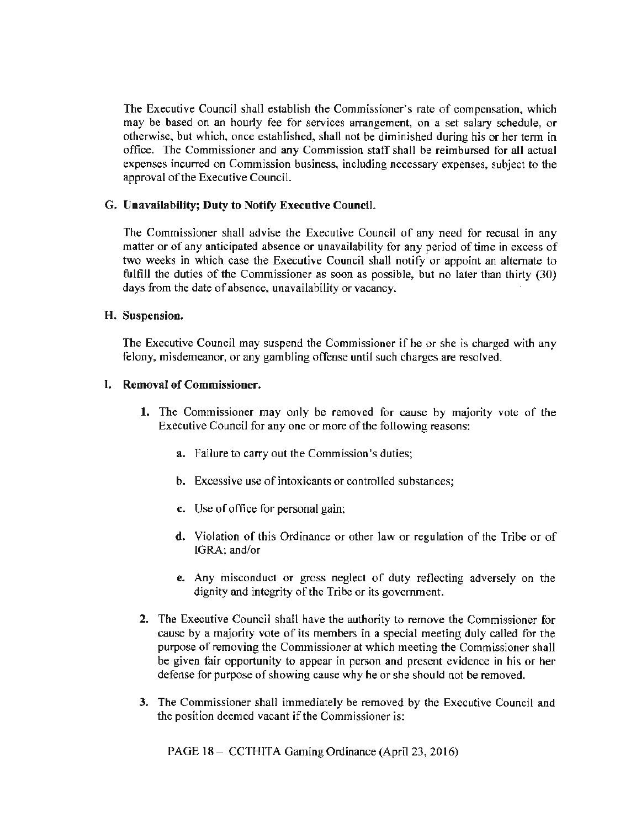The Executive Council shall establish the Commissioner's rate of compensation, which may be based on an hourly fee for services arrangement, on a set salary schedule, or otherwise, but which, once established, shall not be diminished during his or her term in office. The Commissioner and any Commission staff shall be reimbursed for all actual expenses incurred on Commission business, including necessary expenses, subject to the approval of the Executive Council.

### G. Unavailability; **Duty** to Notify Executive Council.

The Commissioner shall advise the Executive Council of any need for recusal in any matter or of any anticipated absence or unavailability for any period of time in excess of two weeks in which case the Executive Council shall notify or appoint an alternate to fulfill the duties of the Commissioner as soon as possible, but no later than thirty (30) days from the date of absence, unavailability or vacancy.

### **H.** Suspension.

The Executive Council may suspend the Commissioner if he or she is charged with any felony, misdemeanor, or any gambling offense until such charges are resolved.

## I. Removal of Commissioner.

- 1. The Commissioner may only be removed for cause by majority vote of the Executive Council for any one or more of the following reasons:
	- a. Failure to cany out the Commission's duties;
	- b. Excessive use of intoxicants or controlled substances;
	- c. Use of office for personal gain;
	- d. Violation of this Ordinance or other law or regulation of the Tribe or of IGRA; and/or
	- e. Any misconduct or gross neglect of duty reflecting adversely on the dignity and integrity of the Tribe or its government.
- 2. The Executive Council shall have the authority to remove the Commissioner for cause by a majority vote of its members in a special meeting duly called for the purpose of removing the Commissioner at which meeting the Commissioner shall be given fair opportunity to appear in person and present evidence in his or her defense for purpose of showing cause why he or she should not be removed.
- 3. The Commissioner shall immediately be removed by the Executive Council and the position deemed vacant if the Commissioner is:

PAGE 18- CCTHITA Gaming Ordinance (April 23, 2016)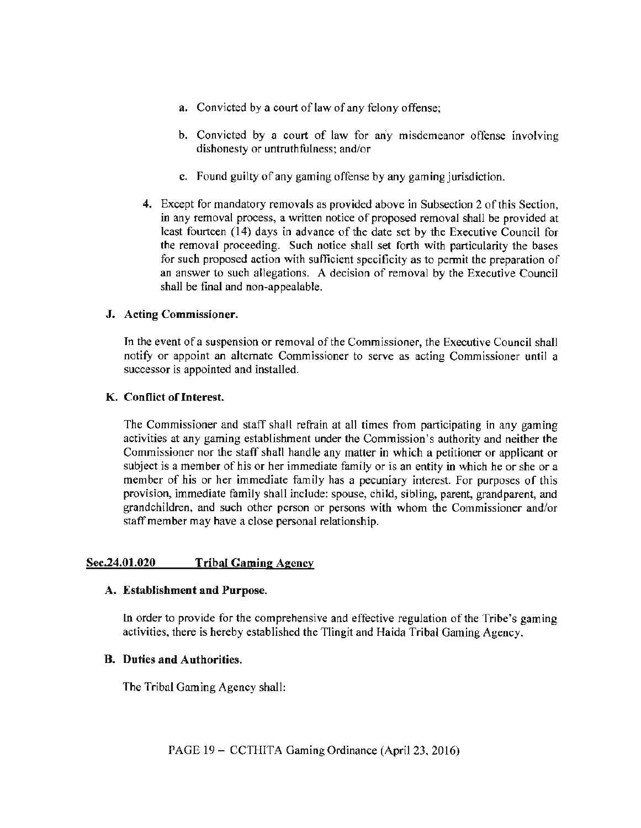- a. Convicted by a court of law of any felony offense;
- b. Convicted by a court of law for an'y misdemeanor offense involving dishonesty or untruthfulness; and/or
- c. Found guilty of any gaming offense by any gaming jurisdiction.
- 4. Except for mandatory removals as provided above in Subsection 2 of this Section, in any removal process, a written notice of proposed removal shall be provided at least fourteen ( 14) days in advance of the date set by the Executive Council for the removal proceeding. Such notice shall set forth with particularity the bases for such proposed action with sufficient specificity as to pennit the preparation of an answer to such allegations. A decision of removal by the Executive Council shall be final and non·appealable.

## J. Acting Commissioner.

Jn the event of a suspension or removal of the Commissioner, the Executive Council shall notify or appoint an alternate Commissioner to serve as acting Commissioner until a successor is appointed and installed.

## K. Conflict of Interest.

The Commissioner and staff shall refrain at all times from participating in any gaming activities at any gaming establishment under the Commission's authority and neither the Commissioner nor the staff shall handle any matter in which a petitioner or applicant or subject is a member of his or her immediate family or is an entity in which he or she or a member of his or her immediate family has a pecuniary interest. For purposes of this provision, immediate family shall include: spouse, child, sibling, parent, grandparent, and grandchildren, and such other person or persons with whom the Commissioner and/or staff member may have a close personal relationship.

# Sec.24.01.020 Tribal Gaming Agency

### A. Establishment and Purpose.

ln order to provide for the comprehensive and effective regulation of the Tribe's gaming activities, there is hereby established the Tlingit and Haida Tribal Gaming Agency.

## B. Duties and Authorities.

The Tribal Gaming Agency shall: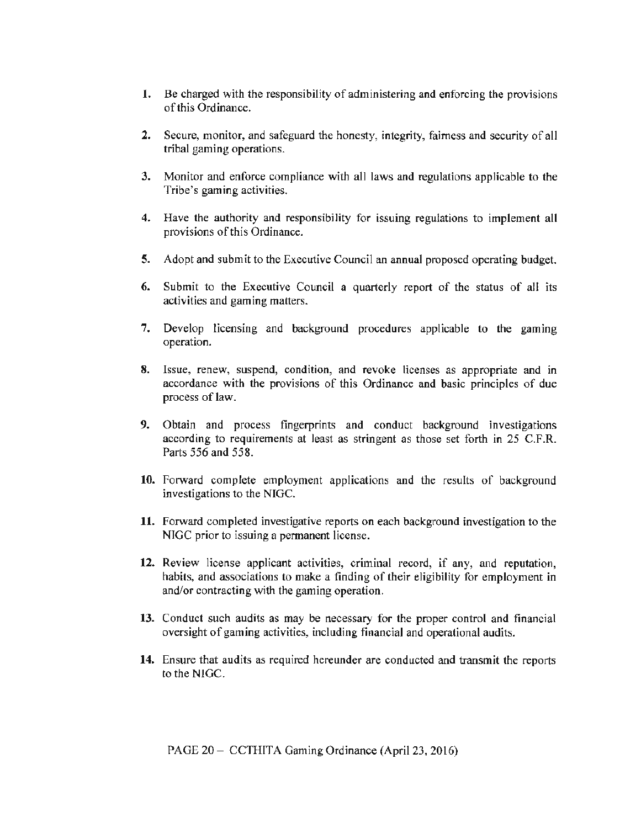- 1. Be charged with the responsibility of administering and enforcing the provisions of this Ordinance.
- 2. Secure, monitor, and safeguard the honesty, integrity, fairness and security of all tribal gaming operations.
- 3. Monitor and enforce compliance with all laws and regulations applicable to the Tribe's gaming activities.
- 4. Have the authority and responsibility for issuing regulations to implement all provisions of this Ordinance.
- 5. Adopt and submit to the Executive Council an annual proposed operating budget.
- 6. Submit to the Executive Council a quarterly report of the status of all its activities and gaming matters.
- 7. Develop licensing and background procedures applicable to the gaming operation.
- 8. Issue, renew, suspend, condition, and revoke licenses as appropriate and in accordance with the provisions of this Ordinance and basic principles of due process of law.
- 9. Obtain and process fingerprints and conduct background investigations according to requirements at least as stringent as those set forth in 25 C.F.R. Parts 556 and 558.
- 10. Forward complete employment applications and the results of background investigations to the NIGC.
- 11. Forward completed investigative reports on each background investigation to the NIGC prior to issuing a permanent license.
- 12. Review license applicant activities, criminal record, if any, and reputation, habits, and associations to make a finding of their eligibility for employment in and/or contracting with the gaming operation.
- 13. Conduct such audits as may be necessary for the proper control and financial oversight of gaming activities, including financial and operational audits.
- 14. Ensure that audits as required hereunder are conducted and transmit the reports to the NIGC.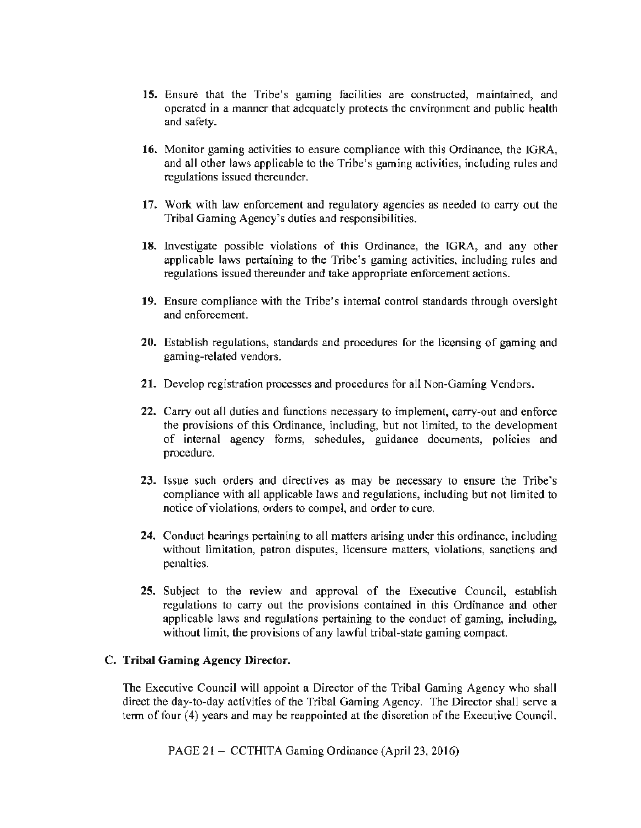- 15. Ensure that the Tribe's gaming facilities are constructed, maintained, and operated in a manner that adequately protects the environment and public health and safety.
- 16. Monitor gaming activities to ensure compliance with this Ordinance, the lGRA, and all other laws applicable to the Tribe's gaming activities, including rules and regulations issued thereunder.
- 17. Work with law enforcement and regulatory agencies as needed to cany out the Tribal Gaming Agency's duties and responsibilities.
- 18. Investigate possible violations of this Ordinance, the IGRA, and any other applicable laws pertaining to the Tribe's gaming activities, including rules and regulations issued thereunder and take appropriate enforcement actions.
- 19. Ensure compliance with the Tribe's internal control standards through oversight and enforcement.
- 20. Establish regulations, standards and procedures for the licensing of gaming and gaming-related vendors.
- 21. Develop registration processes and procedures for all Non-Gaming Vendors.
- 22. Carry out all duties and functions necessary to implement, cany-out and enforce the provisions of this Ordinance, including, but not limited, to the development of internal agency forms, schedules, guidance documents, policies and procedure.
- 23. Issue such orders and directives as may be necessary to ensure the Tribe's compliance with all applicable laws and regulations, including but not limited to notice of violations, orders to compel, and order to cure.
- 24. Conduct hearings pertaining to all matters arising under this ordinance, including without limitation, patron disputes, licensure matters, violations, sanctions and penalties.
- 25. Subject to the review and approval of the Executive Council, establish regulations to carry out the provisions contained in this Ordinance and other applicable laws and regulations pertaining to the conduct of gaming, including, without limit, the provisions of any lawful tribal-state gaming compact.

#### C. Tribal Gaming Agency Director.

The Executive Council will appoint a Director of the Tribal Gaming Agency who shall direct the day-to-day activities of the Tribal Gaming Agency. The Director shall serve a term of four (4) years and may be reappointed at the discretion of the Executive Council.

PAGE 21 - CCTHITA Gaming Ordinance (April 23, 2016)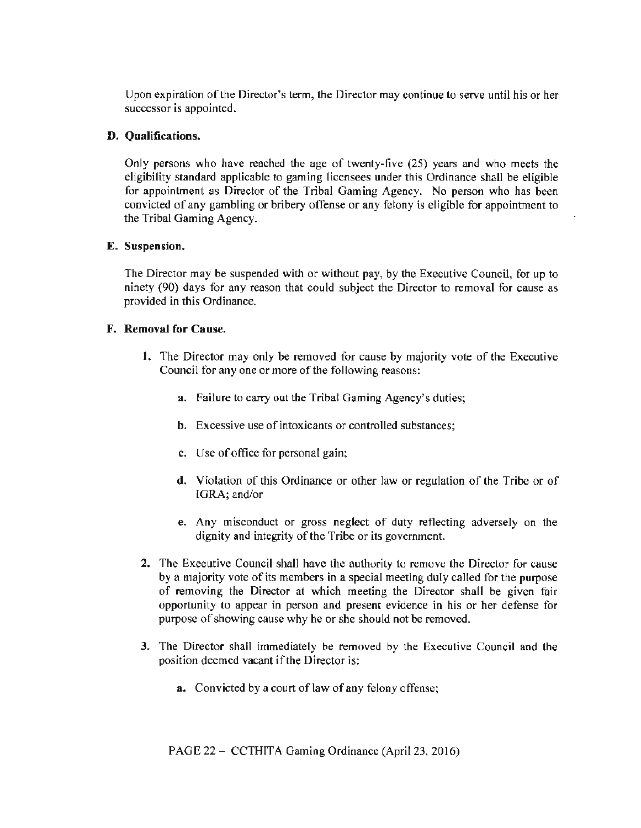Upon expiration of the Director's term, the Director may continue to serve until his or her successor is appointed.

### D. Qualifications.

Only persons who have reached the age of twenty-five (25) years and who meets the eligibility standard applicable to gaming licensees under this Ordinance shall be eligible for appointment as Director of the Tribal Gaming Agency. No person who has been convicted of any gambling or bribery offense or any felony is eligible for appointment to the Tribal Gaming Agency.

## E. Suspension.

The Director may be suspended with or without pay, by the Executive Council, for up to ninety (90) days for any reason that could subject the Director to removal for cause as provided in this Ordinance.

### F. Removal for Cause.

- l. The Director may only be removed for cause by majority vote of the Executive Council for any one or more of the following reasons:
	- a. Failure to carry out the Tribal Gaming Agency's duties;
	- b. Excessive use of intoxicants or controlled substances;
	- c. Use of office for personal gain;
	- d. Violation of this Ordinance or other law or regulation of the Tribe or of IGRA; and/or
	- e. Any misconduct or gross neglect of duty reflecting adversely on the dignity and integrity of the Tribe or its government.
- 2. The Executive Council shall have the authority tu remove the Director for cause by a majority vote of its members in a special meeting duly called for the purpose of removing the Director at which meeting the Director shall be given fair opportunity to appear in person and present evidence in his or her defense for purpose of showing cause why he or she should not be removed.
- 3. The Director shall immediately be removed by the Executive Council and the position deemed vacant if the Director is:
	- a. Convicted by a court of law of any felony offense;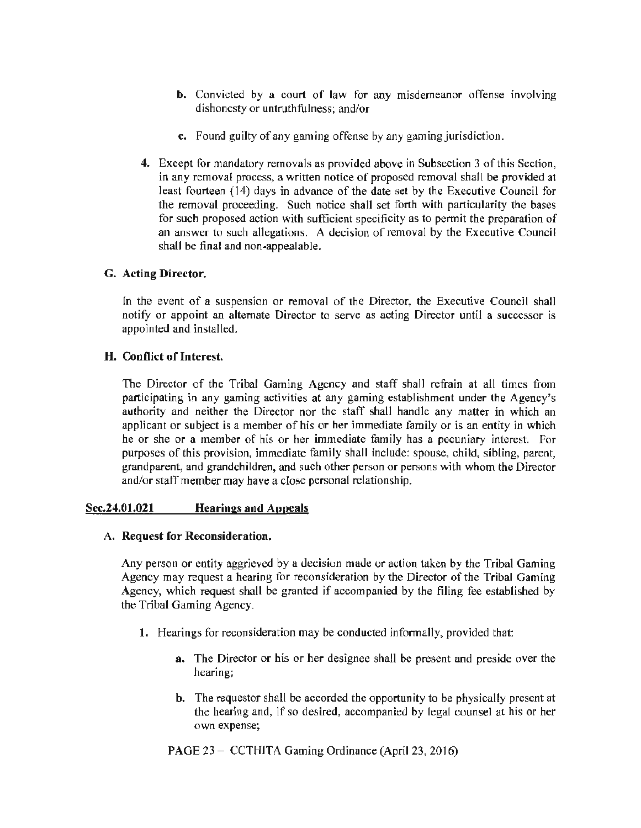- b. Convicted by a court of law for any misdemeanor offense involving dishonesty or untruthfulness; and/or
- c. Found guilty of any gaming offense by any gaming jurisdiction.
- 4. Except for mandatory removals as provided above in Subsection 3 of this Section, in any removal process, a written notice of proposed removal shall be provided at least fourteen (14) days in advance of the date set by the Executive Council for the removal proceeding. Such notice shall set forth with particularity the bases for such proposed action with sufficient specificity as to permit the preparation of an answer to such allegations. A decision of removal by the Executive Council shall be final and non-appealable.

## G. Acting Director.

In the event of a suspension or removal of the Director, the Executive Council shall notify or appoint an alternate Director to serve as acting Director until a successor is appointed and installed.

### H. Conflict of Interest.

The Director of the Tribal Gaming Agency and staff shall refrain at all times from participating in any gaming activities at any gaming establishment under the Agency's authority and neither the Director nor the staff shall handle any matter in which an applicant or subject is a member of his or her immediate family or is an entity in which he or she or a member of his or her immediate family has a pecuniary interest. For purposes of this provision, immediate family shall include: spouse, child, sibling, parent, grandparent, and grandchildren, and such other person or persons with whom the Director and/or staff member may have a close personal relationship.

### Scc.24.01.021 Hearings and Appeals

### A. Request for Reconsideration.

Any person or entity aggrieved by a decision made or action taken by the Tribal Gaming Agency may request a hearing for reconsideration by the Director of the Tribal Gaming Agency, which request shall be granted if accompanied by the filing fee established by the Tribal Gaming Agency.

- 1. Hearings for reconsideration may be conducted informally, provided that:
	- a. The Director or his or her designee shall be present and preside over the hearing;
	- b. The requestor shall be accorded the opportunity to be physically present at the hearing and, if so desired, accompanied by legal counsel at his or her own expense;

PAGE 23 - CCTHITA Gaming Ordinance (April 23, 2016)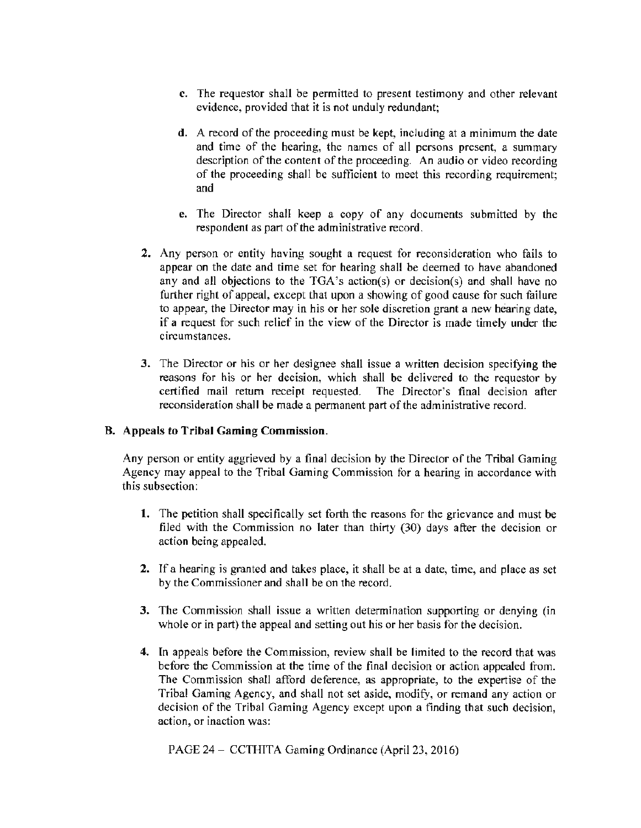- c. The requestor shall be permitted to present testimony and other relevant evidence, provided that it is not unduly redundant;
- d. A record of the proceeding must be kept, including at a minimum the date and time of the hearing, the names of all persons present, a summary description of the content of the proceeding. An audio or video recording of the proceeding shall be sufficient to meet this recording requirement; and
- e. The Director shall keep a copy of any documents submitted by the respondent as part of the administrative record.
- 2. Any person or entity having sought a request for reconsideration who fails to appear on the date and time set for hearing shall be deemed to have abandoned any and all objections to the TGA's action(s) or decision(s) and shall have no further right of appeal, except that upon a showing of good cause for such failure to appear, the Director may in his or her sole discretion grant a new hearing date, if a request for such relief in the view of the Director is made timely under the circumstances.
- 3. The Director or his or her designee shall issue a written decision specifying the reasons for his or her decision, which shall be delivered to the requestor by certified mail return receipt requested. The Director's final decision after reconsideration shall be made a permanent part of the administrative record.

# B. Appeals to Tribal Gaming Commission.

Any person or entity aggrieved by a final decision by the Director of the Tribal Gaming Agency may appeal to the Tribal Gaming Commission for a hearing in accordance with this subsection:

- 1. The petition shall specifically set forth the reasons for the grievance and must be filed with the Commission no later than thirty  $(30)$  days after the decision or action being appealed.
- 2. If a hearing is granted and takes place, it shall be at a date, time, and place as set by the Commissioner and shall be on the record.
- 3. The Commission shall issue a written determination supporting or denying (in whole or in part) the appeal and setting out his or her basis for the decision.
- 4. In appeals before the Commission, review shall be limited to the record that was before the Commission at the time of the final decision or action appealed from. The Commission shall afford deference, as appropriate, to the expertise of the Tribal Gaming Agency, and shall not set aside, modify, or remand any action or decision of the Tribal Gaming Agency except upon a finding that such decision, action, or inaction was:

PAGE 24- CCTHITA Gaming Ordinance (April 23, 2016)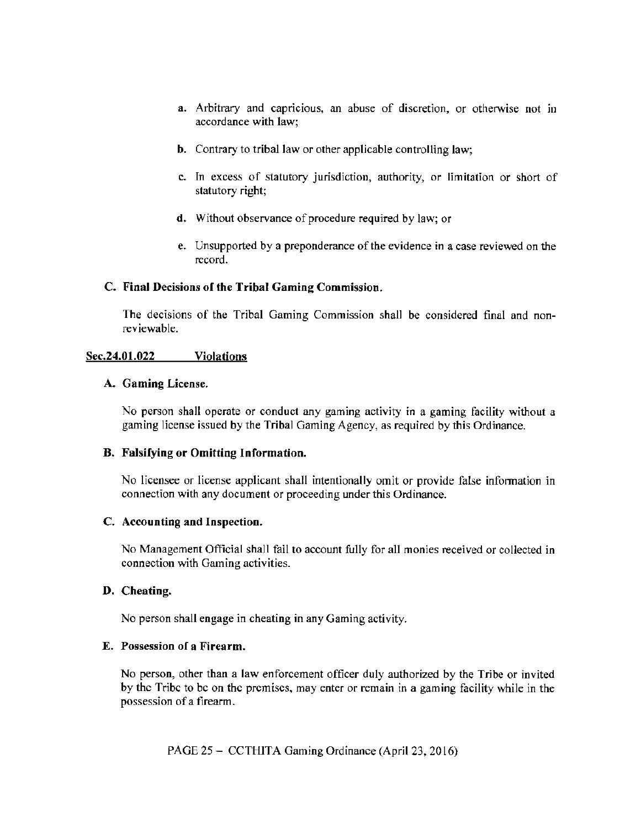- a. Arbitrary and capricious, an abuse of discretion, or otherwise not in accordance with law;
- b. Contrary to tribal law or other applicable controlling law;
- c. In excess of statutory jurisdiction, authority, or limitation or short of statutory right;
- d. Without observance of procedure required by law; or
- e. Unsupported by a preponderance of the evidence in a case reviewed on the record.

## C. Final Decisions of the Tribal Gaming Commission.

The decisions of the Tribal Gaming Commission shall be considered final and nonreviewable.

## Sec.24.01.022 Violations

### A. Gaming License.

No person shall operate or conduct any gaming activity in a gaming facility without a gaming license issued by the Tribal Gaming Agency, as required by this Ordinance.

### B. Falsifying or Omitting Information.

No licensee or license applicant shall intentionally omit or provide false information in connection with any document or proceeding under this Ordinance.

### C. Accounting and Inspection.

No Management Official shall fail to account fully for all monies received or collected in connection with Gaming activities.

### D. Cheating.

No person shall engage in cheating in any Gaming activity.

### E. Possession of a Firearm.

No person, other than a law enforcement officer duly authorized by the Tribe or invited by the Ttibc to be on the premises, may enter or remain in a gaming facility while in the possession of a firearm.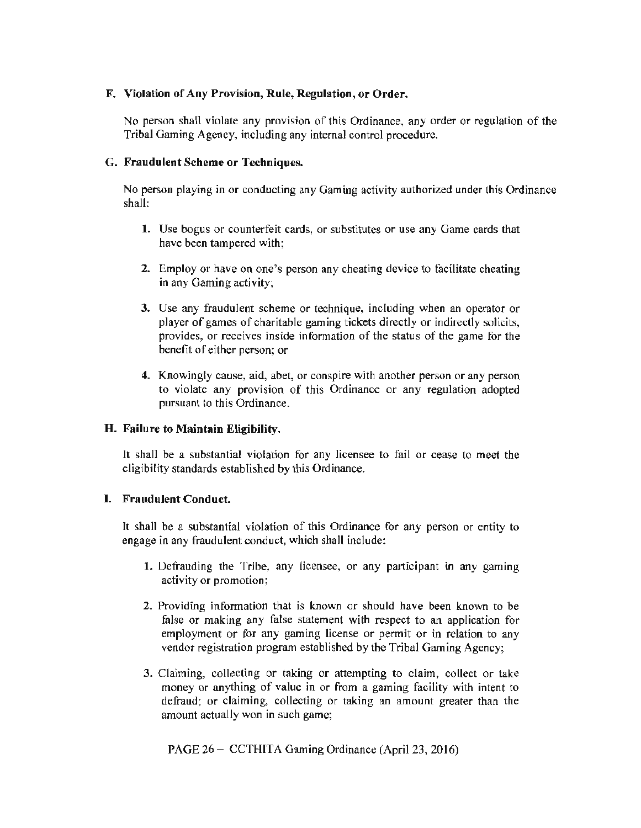## F. Violation of Any Provision, Rule, Regulation, or Order.

No person shall violate any provision of this Ordinance, any order or regulation of the Tribal Gaming Agency, including any internal control procedure.

### G. Fraudulent Scheme or Techniques.

No person playing in or conducting any Gaming activity authorized under this Ordinance shall:

- 1. Use bogus or counterfeit cards, or substitutes or use any Game cards that have been tampered with;
- 2. Employ or have on one's person any cheating device to facilitate cheating in any Gaming activity;
- 3. Use any fraudulent scheme or technique, including when an operator or player of games of charitable gaming tickets directly or indirectly solicits, provides, or receives inside information of the status of the game for the benefit of either person; or
- 4. Knowingly cause, aid, abet, or conspire with another person or any person to violate any provision of this Ordinance or any regulation adopted pursuant to this Ordinance.

### H. Failure to Maintain Eligibility.

It shall be a substantial violation for any licensee to fail or cease to meet the eligibility standards established by this Ordinance.

# I. Fraudulent Conduct.

It shall be a substantial violation of this Ordinance for any person or entity to engage in any fraudulent conduct, which shall include:

- 1. Defrauding the Tribe, any licensee, or any participant in any gaming activity or promotion;
- 2. Providing information that is known or should have been known to be false or making any false statement with respect to an application for employment or for any gaming license or permit or in relation to any vendor registration program established by the Tribal Gaming Agency;
- 3. Claiming, collecting or taking or attempting to claim, collect or take money or anything of value in or from a gaming facility with intent to defraud; or claiming, collecting or taking an amount greater than the amount actually won in such game;

PAGE 26- CCTHITA Gaming Ordinance (April 23, 2016)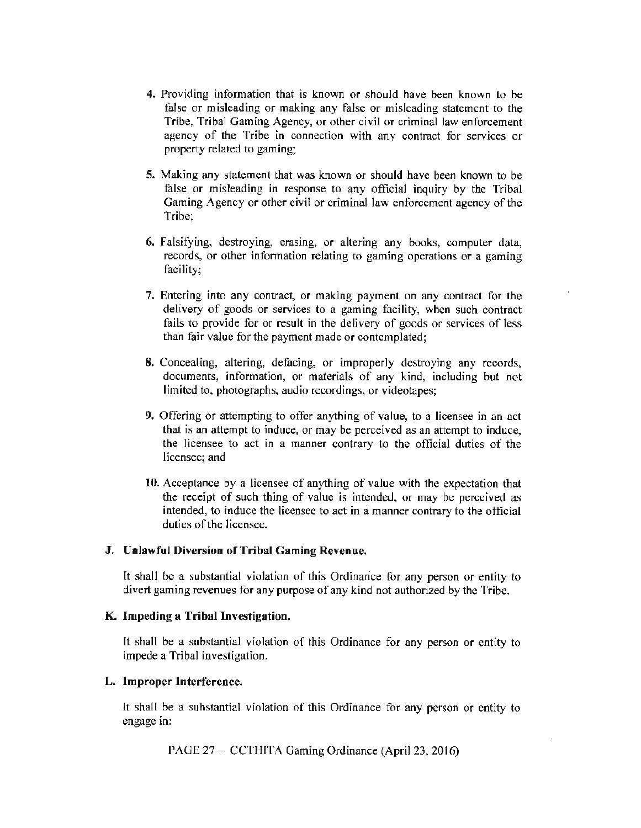- 4. Providing information that is known or should have been known to be false or misleading or making any false or misleading statement to the Tribe, Tribal Gaming Agency, or other civil or criminal law enforcement agency of the Tribe in connection with any contract for services or property related to gaming;
- 5. Making any statement that was known or should have been known to be false or misleading in response to any official inquiry by the Tribal Gaming Agency or other civil or criminal law enforcement agency of the Tribe;
- 6. Falsifying, destroying, erasing, or altering any books, computer data, records, or other information relating to gaming operations or a gaming facility;
- 7. Entering into any contract, or making payment on any contract for the delivery of goods or services to a gaming facility, when such contract fails to provide for or result in the delivery of goods or services of less than fair value for the payment made or contemplated;
- 8. Concealing, altering, defacing, or improperly destroying any records, documents, information, or materials of any kind, including but not limited to, photographs, audio recordings, or videotapes;
- 9. Offering or attempting to offer anything of value, to a licensee in an act that is an attempt to induce, or may be perceived as an attempt to induce, the licensee to act in a manner contrary to the official duties of the licensee; and
- 10. Acceptance by a licensee of anything of value with the expectation that the receipt of such thing of value is intended, or may be perceived as intended, to induce the licensee to act in a manner contrary to the official duties of the licensee.

### J. Unlawful Diversion of Tribal Gaming Revenue.

It shall be a substantial violation of this Ordinance for any person or entity to divert gaming revenues for any purpose of any kind not authorized by the Tribe.

#### K. Impeding a Tribal Investigation.

lt shall be a substantial violation of this Ordinance for any person or entity to impede a Tribal investigation.

### L. Improper Interference.

It shall be a substantial violation of this Ordinance for any person or entity to engage in:

PAGE 27 - CCTHITA Gaming Ordinance (April 23, 2016)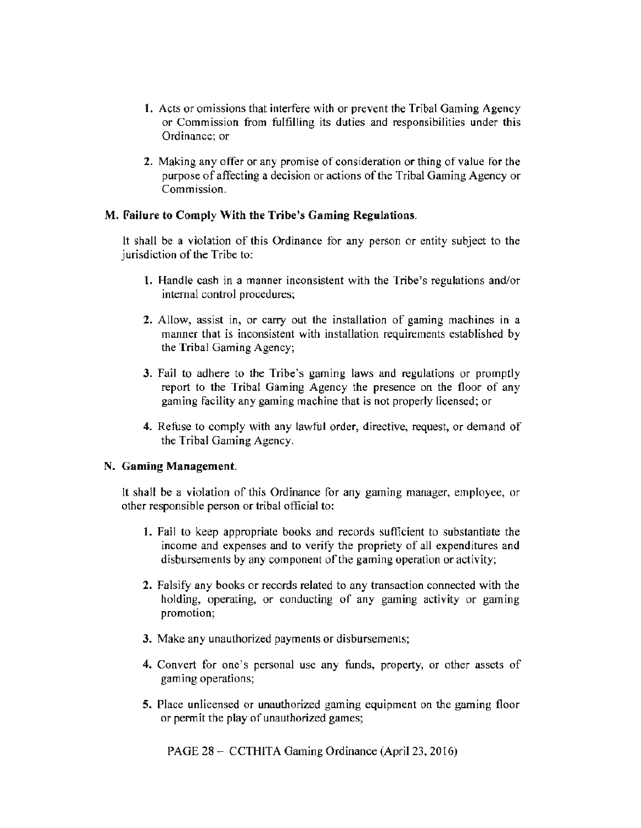- l. Acts or omissions that interfere with or prevent the Tribal Gaming Agency or Commission from fulfilling its duties and responsibilities under this Ordinance; or
- 2. Making any offer or any promise of consideration or thing of value for the purpose of affecting a decision or actions of the Tribal Gaming Agency or Commission.

## M. Failure to Comply With the Tribe's Gaming Regulations.

lt shall be a violation of this Ordinance for any person or entity subject to the jurisdiction of the Tribe to:

- l. Handle cash in a manner inconsistent with the Tribe's regulations and/or internal control procedures;
- 2. Allow, assist in, or carry out the installation of gaming machines in a manner that is inconsistent with installation requirements established by the Tribal Gaming Agency;
- 3. Fail to adhere to the Tribe's gaming laws and regulations or promptly report to the Tribal Gaming Agency the presence on the floor of any gaming facility any gaming machine that is not properly licensed; or
- 4. Refuse to comply with any lawful order, directive, request, or demand of the Tribal Gaming Agency.

### N. Gaming Management.

It shall be a violation of this Ordinance for any gaming manager, employee, or other responsible person or tribal official to:

- l. Fail to keep appropriate books and records sufficient to substantiate the income and expenses and to verify the propriety of all expenditures and disbursements by any component of the gaming operation or activity;
- 2. Falsify any books or records related to any transaction connected with the holding, operating, or conducting of any gaming activity or gaming promotion;
- 3. Make any unauthorized payments or disbursements;
- 4. Convert for one's personal use any funds, property, or other assets of gaming operations;
- 5. Place unlicensed or unauthorized gaming equipment on the gaming floor or permit the play of unauthorized games;

PAGE 28- CCTHlTA Gaming Ordinance (April 23, 2016)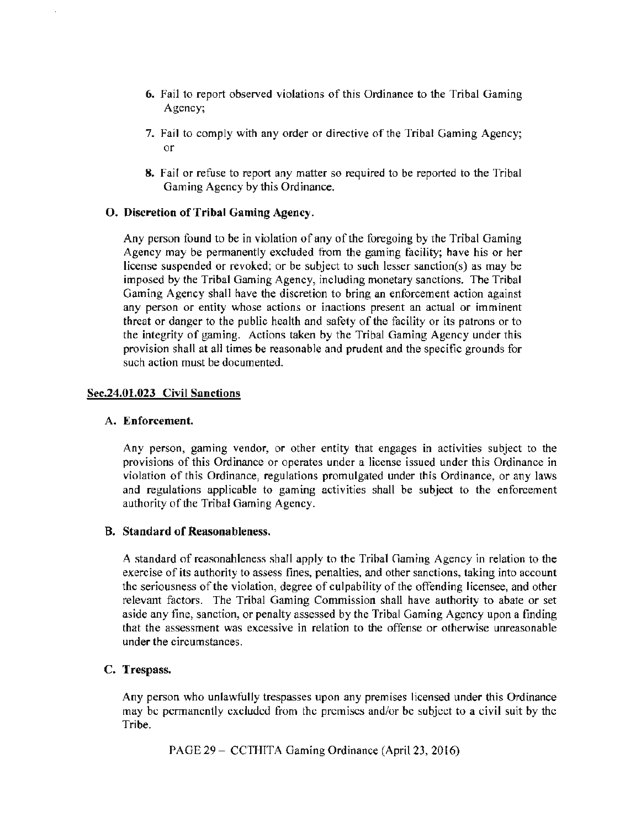- 6. Fail to report observed violations of this Ordinance to the Tribal Gaming Agency;
- 7. Fail to comply with any order or directive of the Tribal Gaming Agency; or
- 8. Fail or refuse to report any matter so required to be reported to the Tribal Gaming Agency by this Ordinance.

#### 0. Discretion of Tribal Gaming Agency.

Any person found to be in violation of any of the foregoing by the Tribal Gaming Agency may be permanently excluded from the gaming facility; have his or her license suspended or revoked; or be subject to such lesser sanction(s) as may be imposed by the Tribal Gaming Agency, including monetary sanctions. The Tribal Gaming Agency shall have the discretion to bring an enforcement action against any person or entity whose actions or inactions present an actual or imminent threat or danger to the public health and safety of the facility or its patrons or to the integrity of gaming. Actions taken by the Tribal Gaming Agency under this provision shall at all times be reasonable and prudent and the specific grounds for such action must be documented.

#### Sec.24.01.023 Civil Sanctions

#### A. Enforcement.

Any person, gaming vendor, or other entity that engages in activities subject to the provisions of this Ordinance or operates under a license issued under this Ordinance in violation of this Ordinance, regulations promulgated under this Ordinance, or any laws and regulations applicable to gaming activities shall be subject to the enforcement authority of the Tribal Gaming Agency.

### B. Standard of Reasonableness.

A standard of reasonableness shall apply to the Tribal Gaming Agency in relation to the exercise of its authority to assess fines, penalties, and other sanctions, taking into account the seriousness of the violation, degree of culpability of the offending licensee, and other relevant factors. The Tribal Gaming Commission shall have authority to abate or set aside any fine, sanction, or penalty assessed by the Tribal Gaming Agency upon a finding that the assessment was excessive in relation to the offense or otherwise unreasonable under the circumstances.

#### C. Trespass.

Any person who unlawfully trespasses upon any premises licensed under this Ordinance may be permanently excluded from the premises and/or be subject to a civil suit by the Tribe.

PAGE 29 - CCTHITA Gaming Ordinance (April 23, 2016)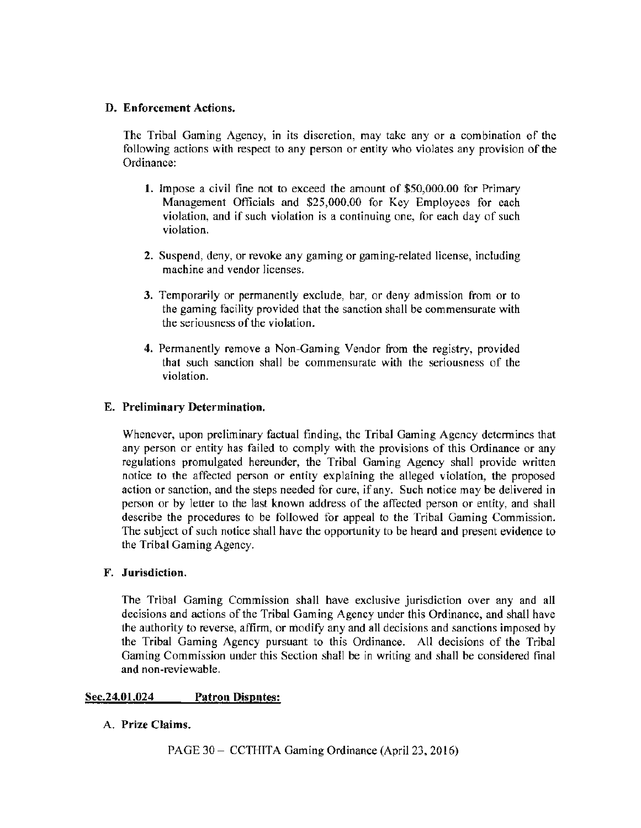## D. Enforcement Actions.

The Tribal Gaming Agency, in its discretion, may take any or a combination of the following actions with respect to any person or entity who violates any provision of the Ordinance:

- 1. Impose a civil fine not to exceed the amount of \$50,000.00 for Primary Management Officials and \$25,000.00 for Key Employees for each violation, and if such violation is a continuing one, for each day of such violation.
- 2. Suspend, deny, or revoke any gaming or gaming-related license, including machine and vendor licenses.
- 3. Temporarily or permanently exclude, bar, or deny admission from or to the gaming facility provided that the sanction shall be commensurate with the seriousness of the violation.
- 4. Permanently remove a Non-Gaming Vendor from the registry, provided that such sanction shall be commensurate with the seriousness of the violation.

## E. Preliminary Determination.

Whenever, upon preliminary factual finding, the Tribal Gaming Agency determines that any person or entity has failed to comply with the provisions of this Ordinance or any regulations promulgated hereunder, the Tribal Gaming Agency shall provide written notice to the affected person or entity explaining the alleged violation, the proposed action or sanction, and the steps needed for cure, if any. Such notice may be delivered in person or by letter to the last known address of the affected person or entity, and shall describe the procedures to be followed for appeal to the Tribal Gaming Commission. The subject of such notice shall have the opportunity to be heard and present evidence to the Tribal Gaming Agency.

### F. Jurisdiction.

The Tribal Gaming Commission shall have exclusive jurisdiction over any and all decisions and actions of the Tribal Gaming Agency under this Ordinance, and shall have the authority to reverse, affirm, or modify any and all decisions and sanctions imposed by the Tribal Gaming Agency pursuant to this Ordinance. AU decisions of the Tribal Gaming Commission under this Section shall be in writing and shall be considered final and non-reviewable.

# Sec.24.01.024 Patron Disputes:

# A. Prize Claims.

PAGE 30- CCTHTTA Gaming Ordinance (April 23, 2016)